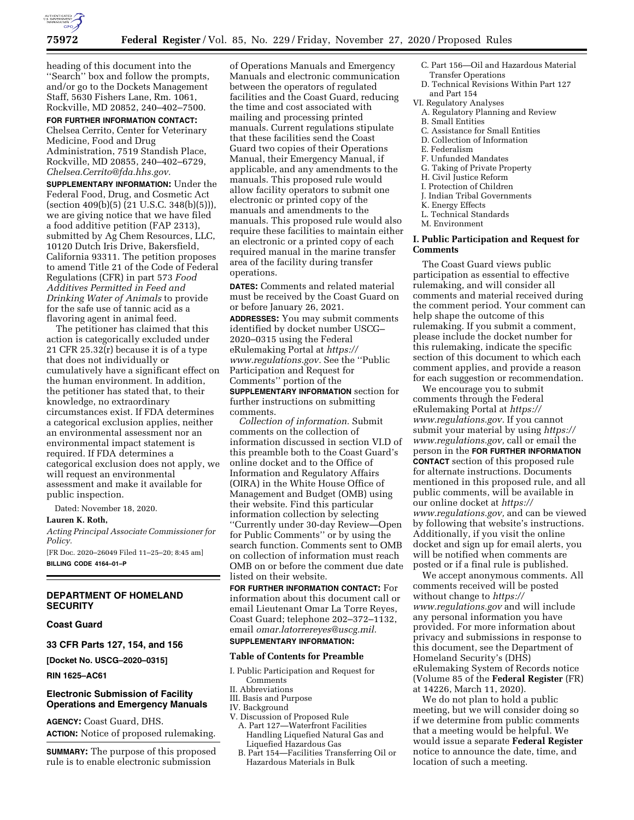

heading of this document into the ''Search'' box and follow the prompts, and/or go to the Dockets Management Staff, 5630 Fishers Lane, Rm. 1061, Rockville, MD 20852, 240–402–7500.

**FOR FURTHER INFORMATION CONTACT:**  Chelsea Cerrito, Center for Veterinary Medicine, Food and Drug Administration, 7519 Standish Place, Rockville, MD 20855, 240–402–6729, *[Chelsea.Cerrito@fda.hhs.gov.](mailto:Chelsea.Cerrito@fda.hhs.gov)* 

**SUPPLEMENTARY INFORMATION:** Under the Federal Food, Drug, and Cosmetic Act (section 409(b)(5) (21 U.S.C. 348(b)(5))), we are giving notice that we have filed a food additive petition (FAP 2313), submitted by Ag Chem Resources, LLC, 10120 Dutch Iris Drive, Bakersfield, California 93311. The petition proposes to amend Title 21 of the Code of Federal Regulations (CFR) in part 573 *Food Additives Permitted in Feed and Drinking Water of Animals* to provide for the safe use of tannic acid as a flavoring agent in animal feed.

The petitioner has claimed that this action is categorically excluded under 21 CFR 25.32(r) because it is of a type that does not individually or cumulatively have a significant effect on the human environment. In addition, the petitioner has stated that, to their knowledge, no extraordinary circumstances exist. If FDA determines a categorical exclusion applies, neither an environmental assessment nor an environmental impact statement is required. If FDA determines a categorical exclusion does not apply, we will request an environmental assessment and make it available for public inspection.

Dated: November 18, 2020.

### **Lauren K. Roth,**

*Acting Principal Associate Commissioner for Policy.* 

[FR Doc. 2020–26049 Filed 11–25–20; 8:45 am] **BILLING CODE 4164–01–P** 

### **DEPARTMENT OF HOMELAND SECURITY**

**Coast Guard** 

### **33 CFR Parts 127, 154, and 156**

**[Docket No. USCG–2020–0315]** 

**RIN 1625–AC61** 

### **Electronic Submission of Facility Operations and Emergency Manuals**

**AGENCY:** Coast Guard, DHS. **ACTION:** Notice of proposed rulemaking.

**SUMMARY:** The purpose of this proposed rule is to enable electronic submission

of Operations Manuals and Emergency Manuals and electronic communication between the operators of regulated facilities and the Coast Guard, reducing the time and cost associated with mailing and processing printed manuals. Current regulations stipulate that these facilities send the Coast Guard two copies of their Operations Manual, their Emergency Manual, if applicable, and any amendments to the manuals. This proposed rule would allow facility operators to submit one electronic or printed copy of the manuals and amendments to the manuals. This proposed rule would also require these facilities to maintain either an electronic or a printed copy of each required manual in the marine transfer area of the facility during transfer operations.

**DATES:** Comments and related material must be received by the Coast Guard on or before January 26, 2021.

**ADDRESSES:** You may submit comments identified by docket number USCG– 2020–0315 using the Federal eRulemaking Portal at *[https://](https://www.regulations.gov) [www.regulations.gov.](https://www.regulations.gov)* See the ''Public Participation and Request for Comments'' portion of the

**SUPPLEMENTARY INFORMATION** section for further instructions on submitting comments.

*Collection of information.* Submit comments on the collection of information discussed in section VI.D of this preamble both to the Coast Guard's online docket and to the Office of Information and Regulatory Affairs (OIRA) in the White House Office of Management and Budget (OMB) using their website. Find this particular information collection by selecting ''Currently under 30-day Review—Open for Public Comments'' or by using the search function. Comments sent to OMB on collection of information must reach OMB on or before the comment due date listed on their website.

**FOR FURTHER INFORMATION CONTACT:** For information about this document call or email Lieutenant Omar La Torre Reyes, Coast Guard; telephone 202–372–1132, email *[omar.latorrereyes@uscg.mil.](mailto:omar.latorrereyes@uscg.mil)*  **SUPPLEMENTARY INFORMATION:** 

### **Table of Contents for Preamble**

- I. Public Participation and Request for Comments
- II. Abbreviations
- III. Basis and Purpose
- IV. Background
- V. Discussion of Proposed Rule
	- A. Part 127—Waterfront Facilities Handling Liquefied Natural Gas and Liquefied Hazardous Gas
	- B. Part 154—Facilities Transferring Oil or Hazardous Materials in Bulk
- C. Part 156—Oil and Hazardous Material
- Transfer Operations
- D. Technical Revisions Within Part 127 and Part 154
- VI. Regulatory Analyses
	- A. Regulatory Planning and Review
- B. Small Entities
- C. Assistance for Small Entities D. Collection of Information
- E. Federalism
- F. Unfunded Mandates
- G. Taking of Private Property
- H. Civil Justice Reform
- I. Protection of Children
- J. Indian Tribal Governments
- K. Energy Effects
- L. Technical Standards
- M. Environment

### **I. Public Participation and Request for Comments**

The Coast Guard views public participation as essential to effective rulemaking, and will consider all comments and material received during the comment period. Your comment can help shape the outcome of this rulemaking. If you submit a comment, please include the docket number for this rulemaking, indicate the specific section of this document to which each comment applies, and provide a reason for each suggestion or recommendation.

We encourage you to submit comments through the Federal eRulemaking Portal at *[https://](https://www.regulations.gov) [www.regulations.gov.](https://www.regulations.gov)* If you cannot submit your material by using *[https://](https://www.regulations.gov) [www.regulations.gov,](https://www.regulations.gov)* call or email the person in the **FOR FURTHER INFORMATION CONTACT** section of this proposed rule for alternate instructions. Documents mentioned in this proposed rule, and all public comments, will be available in our online docket at *[https://](https://www.regulations.gov) [www.regulations.gov,](https://www.regulations.gov)* and can be viewed by following that website's instructions. Additionally, if you visit the online docket and sign up for email alerts, you will be notified when comments are posted or if a final rule is published.

We accept anonymous comments. All comments received will be posted without change to *[https://](https://www.regulations.gov) [www.regulations.gov](https://www.regulations.gov)* and will include any personal information you have provided. For more information about privacy and submissions in response to this document, see the Department of Homeland Security's (DHS) eRulemaking System of Records notice (Volume 85 of the **Federal Register** (FR) at 14226, March 11, 2020).

We do not plan to hold a public meeting, but we will consider doing so if we determine from public comments that a meeting would be helpful. We would issue a separate **Federal Register**  notice to announce the date, time, and location of such a meeting.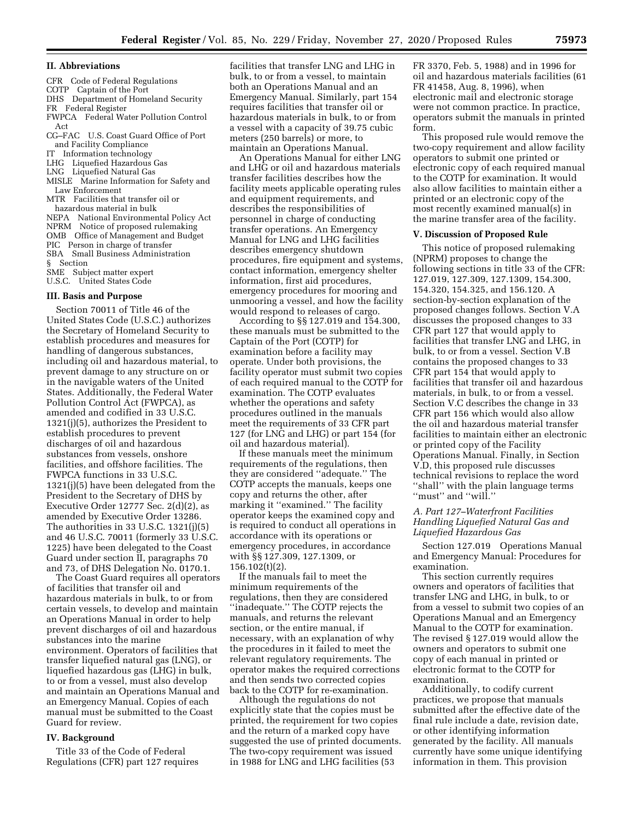#### **II. Abbreviations**

- CFR Code of Federal Regulations
- COTP Captain of the Port
- DHS Department of Homeland Security
- FR Federal Register
- FWPCA Federal Water Pollution Control Act
- CG–FAC U.S. Coast Guard Office of Port and Facility Compliance
- IT Information technology
- LHG Liquefied Hazardous Gas
- LNG Liquefied Natural Gas
- MISLE Marine Information for Safety and Law Enforcement
- MTR Facilities that transfer oil or hazardous material in bulk NEPA National Environmental Policy Act NPRM Notice of proposed rulemaking
- OMB Office of Management and Budget PIC Person in charge of transfer SBA Small Business Administration § Section SME Subject matter expert

U.S.C. United States Code

#### **III. Basis and Purpose**

Section 70011 of Title 46 of the United States Code (U.S.C.) authorizes the Secretary of Homeland Security to establish procedures and measures for handling of dangerous substances, including oil and hazardous material, to prevent damage to any structure on or in the navigable waters of the United States. Additionally, the Federal Water Pollution Control Act (FWPCA), as amended and codified in 33 U.S.C. 1321(j)(5), authorizes the President to establish procedures to prevent discharges of oil and hazardous substances from vessels, onshore facilities, and offshore facilities. The FWPCA functions in 33 U.S.C. 1321(j)(5) have been delegated from the President to the Secretary of DHS by Executive Order 12777 Sec. 2(d)(2), as amended by Executive Order 13286. The authorities in 33 U.S.C. 1321(j)(5) and 46 U.S.C. 70011 (formerly 33 U.S.C. 1225) have been delegated to the Coast Guard under section II, paragraphs 70 and 73, of DHS Delegation No. 0170.1.

The Coast Guard requires all operators of facilities that transfer oil and hazardous materials in bulk, to or from certain vessels, to develop and maintain an Operations Manual in order to help prevent discharges of oil and hazardous substances into the marine environment. Operators of facilities that transfer liquefied natural gas (LNG), or liquefied hazardous gas (LHG) in bulk, to or from a vessel, must also develop and maintain an Operations Manual and an Emergency Manual. Copies of each manual must be submitted to the Coast Guard for review.

#### **IV. Background**

Title 33 of the Code of Federal Regulations (CFR) part 127 requires facilities that transfer LNG and LHG in bulk, to or from a vessel, to maintain both an Operations Manual and an Emergency Manual. Similarly, part 154 requires facilities that transfer oil or hazardous materials in bulk, to or from a vessel with a capacity of 39.75 cubic meters (250 barrels) or more, to maintain an Operations Manual.

An Operations Manual for either LNG and LHG or oil and hazardous materials transfer facilities describes how the facility meets applicable operating rules and equipment requirements, and describes the responsibilities of personnel in charge of conducting transfer operations. An Emergency Manual for LNG and LHG facilities describes emergency shutdown procedures, fire equipment and systems, contact information, emergency shelter information, first aid procedures, emergency procedures for mooring and unmooring a vessel, and how the facility would respond to releases of cargo.

According to §§ 127.019 and 154.300, these manuals must be submitted to the Captain of the Port (COTP) for examination before a facility may operate. Under both provisions, the facility operator must submit two copies of each required manual to the COTP for examination. The COTP evaluates whether the operations and safety procedures outlined in the manuals meet the requirements of 33 CFR part 127 (for LNG and LHG) or part 154 (for oil and hazardous material).

If these manuals meet the minimum requirements of the regulations, then they are considered ''adequate.'' The COTP accepts the manuals, keeps one copy and returns the other, after marking it "examined." The facility operator keeps the examined copy and is required to conduct all operations in accordance with its operations or emergency procedures, in accordance with §§ 127.309, 127.1309, or 156.102(t)(2).

If the manuals fail to meet the minimum requirements of the regulations, then they are considered ''inadequate.'' The COTP rejects the manuals, and returns the relevant section, or the entire manual, if necessary, with an explanation of why the procedures in it failed to meet the relevant regulatory requirements. The operator makes the required corrections and then sends two corrected copies back to the COTP for re-examination.

Although the regulations do not explicitly state that the copies must be printed, the requirement for two copies and the return of a marked copy have suggested the use of printed documents. The two-copy requirement was issued in 1988 for LNG and LHG facilities (53

FR 3370, Feb. 5, 1988) and in 1996 for oil and hazardous materials facilities (61 FR 41458, Aug. 8, 1996), when electronic mail and electronic storage were not common practice. In practice, operators submit the manuals in printed form.

This proposed rule would remove the two-copy requirement and allow facility operators to submit one printed or electronic copy of each required manual to the COTP for examination. It would also allow facilities to maintain either a printed or an electronic copy of the most recently examined manual(s) in the marine transfer area of the facility.

#### **V. Discussion of Proposed Rule**

This notice of proposed rulemaking (NPRM) proposes to change the following sections in title 33 of the CFR: 127.019, 127.309, 127.1309, 154.300, 154.320, 154.325, and 156.120. A section-by-section explanation of the proposed changes follows. Section V.A discusses the proposed changes to 33 CFR part 127 that would apply to facilities that transfer LNG and LHG, in bulk, to or from a vessel. Section V.B contains the proposed changes to 33 CFR part 154 that would apply to facilities that transfer oil and hazardous materials, in bulk, to or from a vessel. Section V.C describes the change in 33 CFR part 156 which would also allow the oil and hazardous material transfer facilities to maintain either an electronic or printed copy of the Facility Operations Manual. Finally, in Section V.D, this proposed rule discusses technical revisions to replace the word ''shall'' with the plain language terms "must" and "will."

### *A. Part 127–Waterfront Facilities Handling Liquefied Natural Gas and Liquefied Hazardous Gas*

Section 127.019 Operations Manual and Emergency Manual: Procedures for examination.

This section currently requires owners and operators of facilities that transfer LNG and LHG, in bulk, to or from a vessel to submit two copies of an Operations Manual and an Emergency Manual to the COTP for examination. The revised § 127.019 would allow the owners and operators to submit one copy of each manual in printed or electronic format to the COTP for examination.

Additionally, to codify current practices, we propose that manuals submitted after the effective date of the final rule include a date, revision date, or other identifying information generated by the facility. All manuals currently have some unique identifying information in them. This provision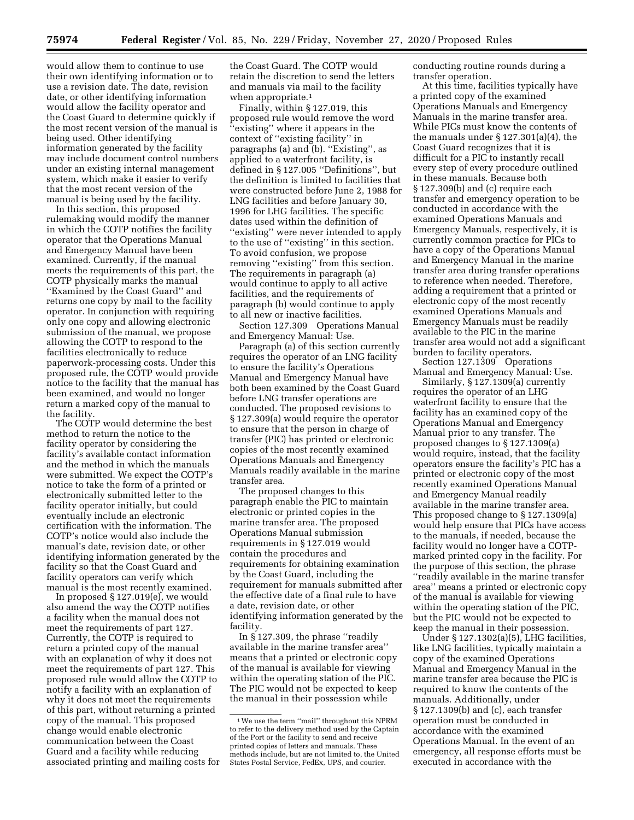would allow them to continue to use their own identifying information or to use a revision date. The date, revision date, or other identifying information would allow the facility operator and the Coast Guard to determine quickly if the most recent version of the manual is being used. Other identifying information generated by the facility may include document control numbers under an existing internal management system, which make it easier to verify that the most recent version of the manual is being used by the facility.

In this section, this proposed rulemaking would modify the manner in which the COTP notifies the facility operator that the Operations Manual and Emergency Manual have been examined. Currently, if the manual meets the requirements of this part, the COTP physically marks the manual ''Examined by the Coast Guard'' and returns one copy by mail to the facility operator. In conjunction with requiring only one copy and allowing electronic submission of the manual, we propose allowing the COTP to respond to the facilities electronically to reduce paperwork-processing costs. Under this proposed rule, the COTP would provide notice to the facility that the manual has been examined, and would no longer return a marked copy of the manual to the facility.

The COTP would determine the best method to return the notice to the facility operator by considering the facility's available contact information and the method in which the manuals were submitted. We expect the COTP's notice to take the form of a printed or electronically submitted letter to the facility operator initially, but could eventually include an electronic certification with the information. The COTP's notice would also include the manual's date, revision date, or other identifying information generated by the facility so that the Coast Guard and facility operators can verify which manual is the most recently examined.

In proposed § 127.019(e), we would also amend the way the COTP notifies a facility when the manual does not meet the requirements of part 127. Currently, the COTP is required to return a printed copy of the manual with an explanation of why it does not meet the requirements of part 127. This proposed rule would allow the COTP to notify a facility with an explanation of why it does not meet the requirements of this part, without returning a printed copy of the manual. This proposed change would enable electronic communication between the Coast Guard and a facility while reducing associated printing and mailing costs for the Coast Guard. The COTP would retain the discretion to send the letters and manuals via mail to the facility when appropriate.<sup>1</sup>

Finally, within § 127.019, this proposed rule would remove the word ''existing'' where it appears in the context of ''existing facility'' in paragraphs (a) and (b). ''Existing'', as applied to a waterfront facility, is defined in § 127.005 ''Definitions'', but the definition is limited to facilities that were constructed before June 2, 1988 for LNG facilities and before January 30, 1996 for LHG facilities. The specific dates used within the definition of ''existing'' were never intended to apply to the use of ''existing'' in this section. To avoid confusion, we propose removing "existing" from this section. The requirements in paragraph (a) would continue to apply to all active facilities, and the requirements of paragraph (b) would continue to apply to all new or inactive facilities.

Section 127.309 Operations Manual and Emergency Manual: Use.

Paragraph (a) of this section currently requires the operator of an LNG facility to ensure the facility's Operations Manual and Emergency Manual have both been examined by the Coast Guard before LNG transfer operations are conducted. The proposed revisions to § 127.309(a) would require the operator to ensure that the person in charge of transfer (PIC) has printed or electronic copies of the most recently examined Operations Manuals and Emergency Manuals readily available in the marine transfer area.

The proposed changes to this paragraph enable the PIC to maintain electronic or printed copies in the marine transfer area. The proposed Operations Manual submission requirements in § 127.019 would contain the procedures and requirements for obtaining examination by the Coast Guard, including the requirement for manuals submitted after the effective date of a final rule to have a date, revision date, or other identifying information generated by the facility.

In § 127.309, the phrase ''readily available in the marine transfer area'' means that a printed or electronic copy of the manual is available for viewing within the operating station of the PIC. The PIC would not be expected to keep the manual in their possession while

conducting routine rounds during a transfer operation.

At this time, facilities typically have a printed copy of the examined Operations Manuals and Emergency Manuals in the marine transfer area. While PICs must know the contents of the manuals under § 127.301(a)(4), the Coast Guard recognizes that it is difficult for a PIC to instantly recall every step of every procedure outlined in these manuals. Because both § 127.309(b) and (c) require each transfer and emergency operation to be conducted in accordance with the examined Operations Manuals and Emergency Manuals, respectively, it is currently common practice for PICs to have a copy of the Operations Manual and Emergency Manual in the marine transfer area during transfer operations to reference when needed. Therefore, adding a requirement that a printed or electronic copy of the most recently examined Operations Manuals and Emergency Manuals must be readily available to the PIC in the marine transfer area would not add a significant burden to facility operators.

Section 127.1309 Operations Manual and Emergency Manual: Use.

Similarly, § 127.1309(a) currently requires the operator of an LHG waterfront facility to ensure that the facility has an examined copy of the Operations Manual and Emergency Manual prior to any transfer. The proposed changes to § 127.1309(a) would require, instead, that the facility operators ensure the facility's PIC has a printed or electronic copy of the most recently examined Operations Manual and Emergency Manual readily available in the marine transfer area. This proposed change to § 127.1309(a) would help ensure that PICs have access to the manuals, if needed, because the facility would no longer have a COTPmarked printed copy in the facility. For the purpose of this section, the phrase ''readily available in the marine transfer area'' means a printed or electronic copy of the manual is available for viewing within the operating station of the PIC, but the PIC would not be expected to keep the manual in their possession.

Under § 127.1302(a)(5), LHG facilities, like LNG facilities, typically maintain a copy of the examined Operations Manual and Emergency Manual in the marine transfer area because the PIC is required to know the contents of the manuals. Additionally, under § 127.1309(b) and (c), each transfer operation must be conducted in accordance with the examined Operations Manual. In the event of an emergency, all response efforts must be executed in accordance with the

<sup>1</sup>We use the term ''mail'' throughout this NPRM to refer to the delivery method used by the Captain of the Port or the facility to send and receive printed copies of letters and manuals. These methods include, but are not limited to, the United States Postal Service, FedEx, UPS, and courier.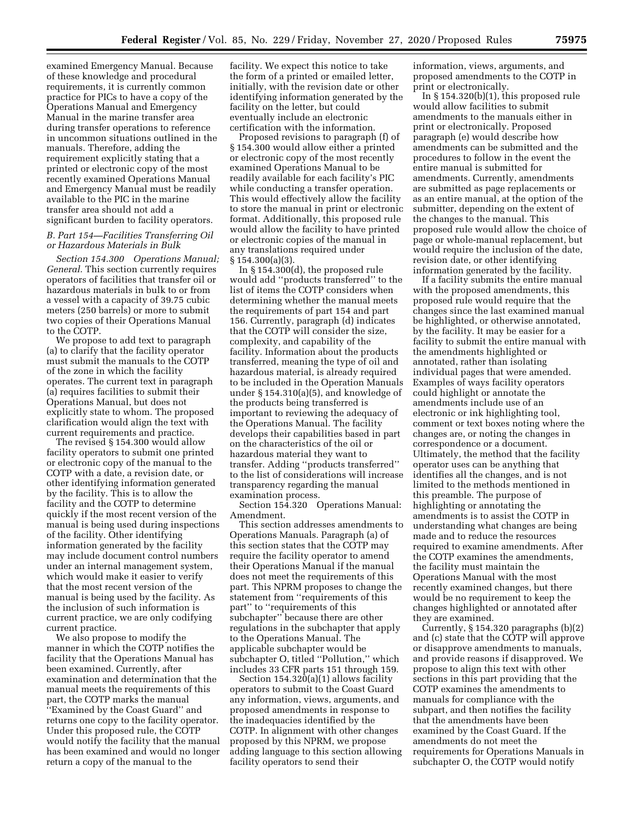examined Emergency Manual. Because of these knowledge and procedural requirements, it is currently common practice for PICs to have a copy of the Operations Manual and Emergency Manual in the marine transfer area during transfer operations to reference in uncommon situations outlined in the manuals. Therefore, adding the requirement explicitly stating that a printed or electronic copy of the most recently examined Operations Manual and Emergency Manual must be readily available to the PIC in the marine transfer area should not add a significant burden to facility operators.

### *B. Part 154—Facilities Transferring Oil or Hazardous Materials in Bulk*

*Section 154.300 Operations Manual; General.* This section currently requires operators of facilities that transfer oil or hazardous materials in bulk to or from a vessel with a capacity of 39.75 cubic meters (250 barrels) or more to submit two copies of their Operations Manual to the COTP.

We propose to add text to paragraph (a) to clarify that the facility operator must submit the manuals to the COTP of the zone in which the facility operates. The current text in paragraph (a) requires facilities to submit their Operations Manual, but does not explicitly state to whom. The proposed clarification would align the text with current requirements and practice.

The revised § 154.300 would allow facility operators to submit one printed or electronic copy of the manual to the COTP with a date, a revision date, or other identifying information generated by the facility. This is to allow the facility and the COTP to determine quickly if the most recent version of the manual is being used during inspections of the facility. Other identifying information generated by the facility may include document control numbers under an internal management system, which would make it easier to verify that the most recent version of the manual is being used by the facility. As the inclusion of such information is current practice, we are only codifying current practice.

We also propose to modify the manner in which the COTP notifies the facility that the Operations Manual has been examined. Currently, after examination and determination that the manual meets the requirements of this part, the COTP marks the manual ''Examined by the Coast Guard'' and returns one copy to the facility operator. Under this proposed rule, the COTP would notify the facility that the manual has been examined and would no longer return a copy of the manual to the

facility. We expect this notice to take the form of a printed or emailed letter, initially, with the revision date or other identifying information generated by the facility on the letter, but could eventually include an electronic certification with the information.

Proposed revisions to paragraph (f) of § 154.300 would allow either a printed or electronic copy of the most recently examined Operations Manual to be readily available for each facility's PIC while conducting a transfer operation. This would effectively allow the facility to store the manual in print or electronic format. Additionally, this proposed rule would allow the facility to have printed or electronic copies of the manual in any translations required under § 154.300(a)(3).

In § 154.300(d), the proposed rule would add ''products transferred'' to the list of items the COTP considers when determining whether the manual meets the requirements of part 154 and part 156. Currently, paragraph (d) indicates that the COTP will consider the size, complexity, and capability of the facility. Information about the products transferred, meaning the type of oil and hazardous material, is already required to be included in the Operation Manuals under § 154.310(a)(5), and knowledge of the products being transferred is important to reviewing the adequacy of the Operations Manual. The facility develops their capabilities based in part on the characteristics of the oil or hazardous material they want to transfer. Adding ''products transferred'' to the list of considerations will increase transparency regarding the manual examination process.

Section 154.320 Operations Manual: Amendment.

This section addresses amendments to Operations Manuals. Paragraph (a) of this section states that the COTP may require the facility operator to amend their Operations Manual if the manual does not meet the requirements of this part. This NPRM proposes to change the statement from ''requirements of this part'' to ''requirements of this subchapter'' because there are other regulations in the subchapter that apply to the Operations Manual. The applicable subchapter would be subchapter O, titled ''Pollution,'' which includes 33 CFR parts 151 through 159.

Section 154.320(a)(1) allows facility operators to submit to the Coast Guard any information, views, arguments, and proposed amendments in response to the inadequacies identified by the COTP. In alignment with other changes proposed by this NPRM, we propose adding language to this section allowing facility operators to send their

information, views, arguments, and proposed amendments to the COTP in print or electronically.

In § 154.320(b)(1), this proposed rule would allow facilities to submit amendments to the manuals either in print or electronically. Proposed paragraph (e) would describe how amendments can be submitted and the procedures to follow in the event the entire manual is submitted for amendments. Currently, amendments are submitted as page replacements or as an entire manual, at the option of the submitter, depending on the extent of the changes to the manual. This proposed rule would allow the choice of page or whole-manual replacement, but would require the inclusion of the date, revision date, or other identifying information generated by the facility.

If a facility submits the entire manual with the proposed amendments, this proposed rule would require that the changes since the last examined manual be highlighted, or otherwise annotated, by the facility. It may be easier for a facility to submit the entire manual with the amendments highlighted or annotated, rather than isolating individual pages that were amended. Examples of ways facility operators could highlight or annotate the amendments include use of an electronic or ink highlighting tool, comment or text boxes noting where the changes are, or noting the changes in correspondence or a document. Ultimately, the method that the facility operator uses can be anything that identifies all the changes, and is not limited to the methods mentioned in this preamble. The purpose of highlighting or annotating the amendments is to assist the COTP in understanding what changes are being made and to reduce the resources required to examine amendments. After the COTP examines the amendments, the facility must maintain the Operations Manual with the most recently examined changes, but there would be no requirement to keep the changes highlighted or annotated after they are examined.

Currently, § 154.320 paragraphs (b)(2) and (c) state that the COTP will approve or disapprove amendments to manuals, and provide reasons if disapproved. We propose to align this text with other sections in this part providing that the COTP examines the amendments to manuals for compliance with the subpart, and then notifies the facility that the amendments have been examined by the Coast Guard. If the amendments do not meet the requirements for Operations Manuals in subchapter O, the COTP would notify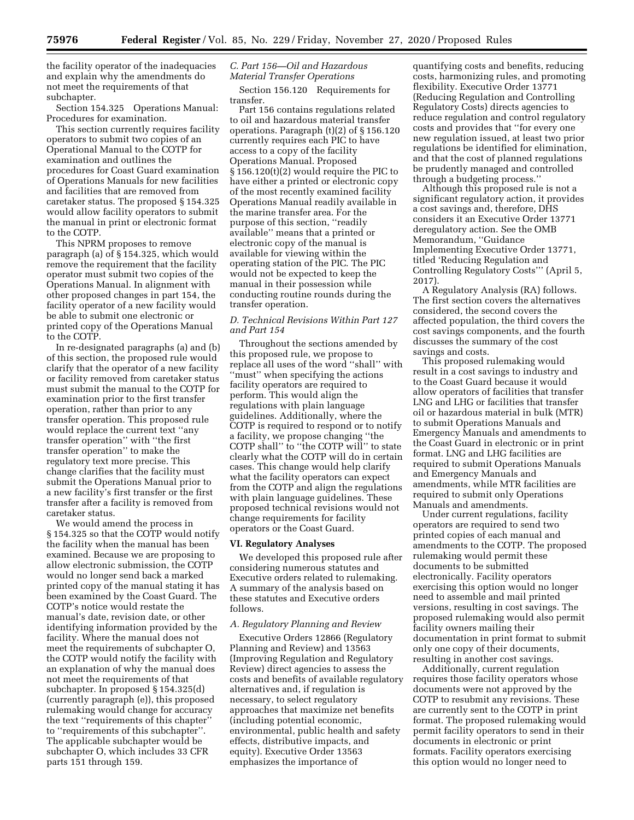the facility operator of the inadequacies and explain why the amendments do not meet the requirements of that subchapter.

Section 154.325 Operations Manual: Procedures for examination.

This section currently requires facility operators to submit two copies of an Operational Manual to the COTP for examination and outlines the procedures for Coast Guard examination of Operations Manuals for new facilities and facilities that are removed from caretaker status. The proposed § 154.325 would allow facility operators to submit the manual in print or electronic format to the COTP.

This NPRM proposes to remove paragraph (a) of § 154.325, which would remove the requirement that the facility operator must submit two copies of the Operations Manual. In alignment with other proposed changes in part 154, the facility operator of a new facility would be able to submit one electronic or printed copy of the Operations Manual to the COTP.

In re-designated paragraphs (a) and (b) of this section, the proposed rule would clarify that the operator of a new facility or facility removed from caretaker status must submit the manual to the COTP for examination prior to the first transfer operation, rather than prior to any transfer operation. This proposed rule would replace the current text ''any transfer operation'' with ''the first transfer operation'' to make the regulatory text more precise. This change clarifies that the facility must submit the Operations Manual prior to a new facility's first transfer or the first transfer after a facility is removed from caretaker status.

We would amend the process in § 154.325 so that the COTP would notify the facility when the manual has been examined. Because we are proposing to allow electronic submission, the COTP would no longer send back a marked printed copy of the manual stating it has been examined by the Coast Guard. The COTP's notice would restate the manual's date, revision date, or other identifying information provided by the facility. Where the manual does not meet the requirements of subchapter O, the COTP would notify the facility with an explanation of why the manual does not meet the requirements of that subchapter. In proposed § 154.325(d) (currently paragraph (e)), this proposed rulemaking would change for accuracy the text ''requirements of this chapter'' to ''requirements of this subchapter''. The applicable subchapter would be subchapter O, which includes 33 CFR parts 151 through 159.

#### *C. Part 156—Oil and Hazardous Material Transfer Operations*

Section 156.120 Requirements for transfer.

Part 156 contains regulations related to oil and hazardous material transfer operations. Paragraph (t)(2) of § 156.120 currently requires each PIC to have access to a copy of the facility Operations Manual. Proposed § 156.120(t)(2) would require the PIC to have either a printed or electronic copy of the most recently examined facility Operations Manual readily available in the marine transfer area. For the purpose of this section, ''readily available'' means that a printed or electronic copy of the manual is available for viewing within the operating station of the PIC. The PIC would not be expected to keep the manual in their possession while conducting routine rounds during the transfer operation.

#### *D. Technical Revisions Within Part 127 and Part 154*

Throughout the sections amended by this proposed rule, we propose to replace all uses of the word ''shall'' with ''must'' when specifying the actions facility operators are required to perform. This would align the regulations with plain language guidelines. Additionally, where the COTP is required to respond or to notify a facility, we propose changing ''the COTP shall'' to ''the COTP will'' to state clearly what the COTP will do in certain cases. This change would help clarify what the facility operators can expect from the COTP and align the regulations with plain language guidelines. These proposed technical revisions would not change requirements for facility operators or the Coast Guard.

#### **VI. Regulatory Analyses**

We developed this proposed rule after considering numerous statutes and Executive orders related to rulemaking. A summary of the analysis based on these statutes and Executive orders follows.

#### *A. Regulatory Planning and Review*

Executive Orders 12866 (Regulatory Planning and Review) and 13563 (Improving Regulation and Regulatory Review) direct agencies to assess the costs and benefits of available regulatory alternatives and, if regulation is necessary, to select regulatory approaches that maximize net benefits (including potential economic, environmental, public health and safety effects, distributive impacts, and equity). Executive Order 13563 emphasizes the importance of

quantifying costs and benefits, reducing costs, harmonizing rules, and promoting flexibility. Executive Order 13771 (Reducing Regulation and Controlling Regulatory Costs) directs agencies to reduce regulation and control regulatory costs and provides that ''for every one new regulation issued, at least two prior regulations be identified for elimination, and that the cost of planned regulations be prudently managed and controlled through a budgeting process.''

Although this proposed rule is not a significant regulatory action, it provides a cost savings and, therefore, DHS considers it an Executive Order 13771 deregulatory action. See the OMB Memorandum, ''Guidance Implementing Executive Order 13771, titled 'Reducing Regulation and Controlling Regulatory Costs''' (April 5, 2017).

A Regulatory Analysis (RA) follows. The first section covers the alternatives considered, the second covers the affected population, the third covers the cost savings components, and the fourth discusses the summary of the cost savings and costs.

This proposed rulemaking would result in a cost savings to industry and to the Coast Guard because it would allow operators of facilities that transfer LNG and LHG or facilities that transfer oil or hazardous material in bulk (MTR) to submit Operations Manuals and Emergency Manuals and amendments to the Coast Guard in electronic or in print format. LNG and LHG facilities are required to submit Operations Manuals and Emergency Manuals and amendments, while MTR facilities are required to submit only Operations Manuals and amendments.

Under current regulations, facility operators are required to send two printed copies of each manual and amendments to the COTP. The proposed rulemaking would permit these documents to be submitted electronically. Facility operators exercising this option would no longer need to assemble and mail printed versions, resulting in cost savings. The proposed rulemaking would also permit facility owners mailing their documentation in print format to submit only one copy of their documents, resulting in another cost savings.

Additionally, current regulation requires those facility operators whose documents were not approved by the COTP to resubmit any revisions. These are currently sent to the COTP in print format. The proposed rulemaking would permit facility operators to send in their documents in electronic or print formats. Facility operators exercising this option would no longer need to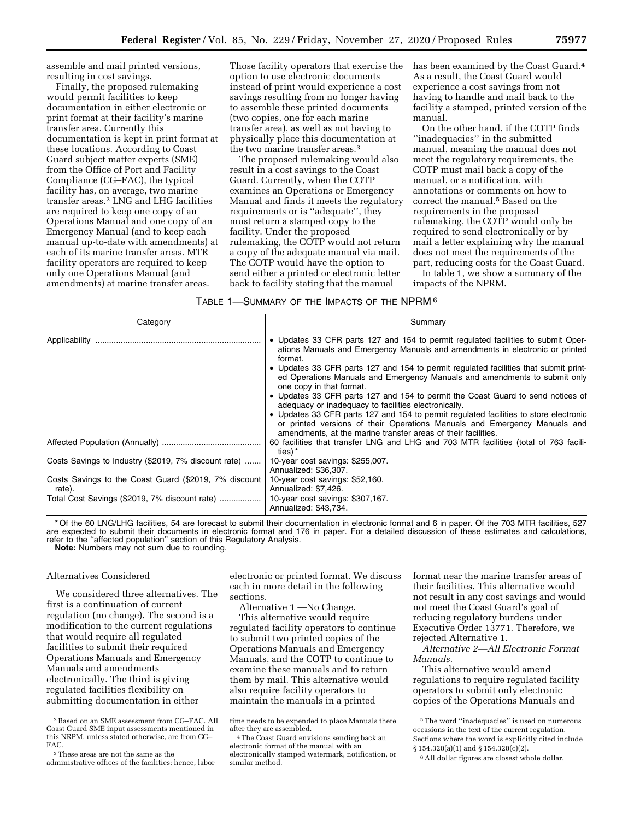assemble and mail printed versions, resulting in cost savings.

Finally, the proposed rulemaking would permit facilities to keep documentation in either electronic or print format at their facility's marine transfer area. Currently this documentation is kept in print format at these locations. According to Coast Guard subject matter experts (SME) from the Office of Port and Facility Compliance (CG–FAC), the typical facility has, on average, two marine transfer areas.2 LNG and LHG facilities are required to keep one copy of an Operations Manual and one copy of an Emergency Manual (and to keep each manual up-to-date with amendments) at each of its marine transfer areas. MTR facility operators are required to keep only one Operations Manual (and amendments) at marine transfer areas.

Those facility operators that exercise the option to use electronic documents instead of print would experience a cost savings resulting from no longer having to assemble these printed documents (two copies, one for each marine transfer area), as well as not having to physically place this documentation at the two marine transfer areas.3

The proposed rulemaking would also result in a cost savings to the Coast Guard. Currently, when the COTP examines an Operations or Emergency Manual and finds it meets the regulatory requirements or is ''adequate'', they must return a stamped copy to the facility. Under the proposed rulemaking, the COTP would not return a copy of the adequate manual via mail. The COTP would have the option to send either a printed or electronic letter back to facility stating that the manual

has been examined by the Coast Guard.<sup>4</sup> As a result, the Coast Guard would experience a cost savings from not having to handle and mail back to the facility a stamped, printed version of the manual.

On the other hand, if the COTP finds ''inadequacies'' in the submitted manual, meaning the manual does not meet the regulatory requirements, the COTP must mail back a copy of the manual, or a notification, with annotations or comments on how to correct the manual.5 Based on the requirements in the proposed rulemaking, the COTP would only be required to send electronically or by mail a letter explaining why the manual does not meet the requirements of the part, reducing costs for the Coast Guard.

In table 1, we show a summary of the impacts of the NPRM.

| TABLE 1—SUMMARY OF THE IMPACTS OF THE $NPRM$ $^6$ |  |
|---------------------------------------------------|--|
|---------------------------------------------------|--|

| Category                                                                                                         | Summary                                                                                                                                                                                                                                                                                                                                                                                                                                                                                                                                                                                                                                                                                                                                                         |
|------------------------------------------------------------------------------------------------------------------|-----------------------------------------------------------------------------------------------------------------------------------------------------------------------------------------------------------------------------------------------------------------------------------------------------------------------------------------------------------------------------------------------------------------------------------------------------------------------------------------------------------------------------------------------------------------------------------------------------------------------------------------------------------------------------------------------------------------------------------------------------------------|
|                                                                                                                  | • Updates 33 CFR parts 127 and 154 to permit regulated facilities to submit Oper-<br>ations Manuals and Emergency Manuals and amendments in electronic or printed<br>format.<br>• Updates 33 CFR parts 127 and 154 to permit regulated facilities that submit print-<br>ed Operations Manuals and Emergency Manuals and amendments to submit only<br>one copy in that format.<br>• Updates 33 CFR parts 127 and 154 to permit the Coast Guard to send notices of<br>adequacy or inadequacy to facilities electronically.<br>• Updates 33 CFR parts 127 and 154 to permit regulated facilities to store electronic<br>or printed versions of their Operations Manuals and Emergency Manuals and<br>amendments, at the marine transfer areas of their facilities. |
|                                                                                                                  | 60 facilities that transfer LNG and LHG and 703 MTR facilities (total of 763 facili-<br>ties) *                                                                                                                                                                                                                                                                                                                                                                                                                                                                                                                                                                                                                                                                 |
| Costs Savings to Industry (\$2019, 7% discount rate)                                                             | 10-year cost savings: \$255,007.<br>Annualized: \$36,307.                                                                                                                                                                                                                                                                                                                                                                                                                                                                                                                                                                                                                                                                                                       |
| Costs Savings to the Coast Guard (\$2019, 7% discount<br>rate).<br>Total Cost Savings (\$2019, 7% discount rate) | 10-year cost savings: \$52,160.<br>Annualized: \$7,426.<br>10-year cost savings: \$307,167.<br>Annualized: \$43,734.                                                                                                                                                                                                                                                                                                                                                                                                                                                                                                                                                                                                                                            |

\* Of the 60 LNG/LHG facilities, 54 are forecast to submit their documentation in electronic format and 6 in paper. Of the 703 MTR facilities, 527 are expected to submit their documents in electronic format and 176 in paper. For a detailed discussion of these estimates and calculations, refer to the ''affected population'' section of this Regulatory Analysis. **Note:** Numbers may not sum due to rounding.

#### Alternatives Considered

We considered three alternatives. The first is a continuation of current regulation (no change). The second is a modification to the current regulations that would require all regulated facilities to submit their required Operations Manuals and Emergency Manuals and amendments electronically. The third is giving regulated facilities flexibility on submitting documentation in either

electronic or printed format. We discuss each in more detail in the following sections.

Alternative 1 —No Change.

This alternative would require regulated facility operators to continue to submit two printed copies of the Operations Manuals and Emergency Manuals, and the COTP to continue to examine these manuals and to return them by mail. This alternative would also require facility operators to maintain the manuals in a printed

format near the marine transfer areas of their facilities. This alternative would not result in any cost savings and would not meet the Coast Guard's goal of reducing regulatory burdens under Executive Order 13771. Therefore, we rejected Alternative 1.

*Alternative 2—All Electronic Format Manuals.* 

This alternative would amend regulations to require regulated facility operators to submit only electronic copies of the Operations Manuals and

<sup>2</sup>Based on an SME assessment from CG–FAC. All Coast Guard SME input assessments mentioned in this NRPM, unless stated otherwise, are from CG– FAC.

<sup>3</sup>These areas are not the same as the administrative offices of the facilities; hence, labor

time needs to be expended to place Manuals there<br>after they are assembled.

<sup>&</sup>lt;sup>4</sup> The Coast Guard envisions sending back an electronic format of the manual with an electronically stamped watermark, notification, or similar method.

<sup>5</sup>The word ''inadequacies'' is used on numerous occasions in the text of the current regulation. Sections where the word is explicitly cited include § 154.320(a)(1) and § 154.320(c)(2).

<sup>6</sup>All dollar figures are closest whole dollar.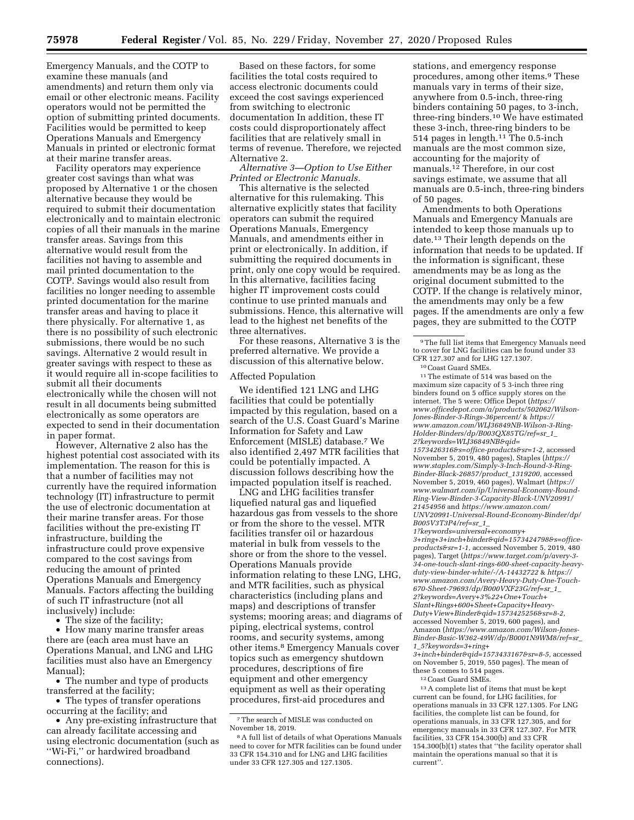Emergency Manuals, and the COTP to examine these manuals (and amendments) and return them only via email or other electronic means. Facility operators would not be permitted the option of submitting printed documents. Facilities would be permitted to keep Operations Manuals and Emergency Manuals in printed or electronic format at their marine transfer areas.

Facility operators may experience greater cost savings than what was proposed by Alternative 1 or the chosen alternative because they would be required to submit their documentation electronically and to maintain electronic copies of all their manuals in the marine transfer areas. Savings from this alternative would result from the facilities not having to assemble and mail printed documentation to the COTP. Savings would also result from facilities no longer needing to assemble printed documentation for the marine transfer areas and having to place it there physically. For alternative 1, as there is no possibility of such electronic submissions, there would be no such savings. Alternative 2 would result in greater savings with respect to these as it would require all in-scope facilities to submit all their documents electronically while the chosen will not result in all documents being submitted electronically as some operators are expected to send in their documentation in paper format.

However, Alternative 2 also has the highest potential cost associated with its implementation. The reason for this is that a number of facilities may not currently have the required information technology (IT) infrastructure to permit the use of electronic documentation at their marine transfer areas. For those facilities without the pre-existing IT infrastructure, building the infrastructure could prove expensive compared to the cost savings from reducing the amount of printed Operations Manuals and Emergency Manuals. Factors affecting the building of such IT infrastructure (not all inclusively) include:

• The size of the facility;

• How many marine transfer areas there are (each area must have an Operations Manual, and LNG and LHG facilities must also have an Emergency Manual);

• The number and type of products transferred at the facility;

• The types of transfer operations occurring at the facility; and

• Any pre-existing infrastructure that can already facilitate accessing and using electronic documentation (such as ''Wi-Fi,'' or hardwired broadband connections).

Based on these factors, for some facilities the total costs required to access electronic documents could exceed the cost savings experienced from switching to electronic documentation In addition, these IT costs could disproportionately affect facilities that are relatively small in terms of revenue. Therefore, we rejected Alternative 2.

*Alternative 3—Option to Use Either Printed or Electronic Manuals.* 

This alternative is the selected alternative for this rulemaking. This alternative explicitly states that facility operators can submit the required Operations Manuals, Emergency Manuals, and amendments either in print or electronically. In addition, if submitting the required documents in print, only one copy would be required. In this alternative, facilities facing higher IT improvement costs could continue to use printed manuals and submissions. Hence, this alternative will lead to the highest net benefits of the three alternatives.

For these reasons, Alternative 3 is the preferred alternative. We provide a discussion of this alternative below.

#### Affected Population

We identified 121 LNG and LHG facilities that could be potentially impacted by this regulation, based on a search of the U.S. Coast Guard's Marine Information for Safety and Law Enforcement (MISLE) database.7 We also identified 2,497 MTR facilities that could be potentially impacted. A discussion follows describing how the impacted population itself is reached.

LNG and LHG facilities transfer liquefied natural gas and liquefied hazardous gas from vessels to the shore or from the shore to the vessel. MTR facilities transfer oil or hazardous material in bulk from vessels to the shore or from the shore to the vessel. Operations Manuals provide information relating to these LNG, LHG, and MTR facilities, such as physical characteristics (including plans and maps) and descriptions of transfer systems; mooring areas; and diagrams of piping, electrical systems, control rooms, and security systems, among other items.8 Emergency Manuals cover topics such as emergency shutdown procedures, descriptions of fire equipment and other emergency equipment as well as their operating procedures, first-aid procedures and

stations, and emergency response procedures, among other items.9 These manuals vary in terms of their size, anywhere from 0.5-inch, three-ring binders containing 50 pages, to 3-inch, three-ring binders.10 We have estimated these 3-inch, three-ring binders to be 514 pages in length.11 The 0.5-inch manuals are the most common size, accounting for the majority of manuals.12 Therefore, in our cost savings estimate, we assume that all manuals are 0.5-inch, three-ring binders of 50 pages.

Amendments to both Operations Manuals and Emergency Manuals are intended to keep those manuals up to date.13 Their length depends on the information that needs to be updated. If the information is significant, these amendments may be as long as the original document submitted to the COTP. If the change is relatively minor, the amendments may only be a few pages. If the amendments are only a few pages, they are submitted to the COTP

 $\rm ^{10}Coast$  Guard SMEs.  $\rm ^{11}The$  estimate of 514 was based on the maximum size capacity of 5 3-inch three ring binders found on 5 office supply stores on the internet. The 5 were: Office Depot (*[https://](https://www.officedepot.com/a/products/502062/Wilson-Jones-Binder-3-Rings-36percent/) [www.officedepot.com/a/products/502062/Wilson-](https://www.officedepot.com/a/products/502062/Wilson-Jones-Binder-3-Rings-36percent/)[Jones-Binder-3-Rings-36percent/](https://www.officedepot.com/a/products/502062/Wilson-Jones-Binder-3-Rings-36percent/)* & *[https://](https://www.amazon.com/WLJ36849NB-Wilson-3-Ring-Holder-Binders/dp/B003QX85TG/ref=sr_1_2?keywords=WLJ36849NB&qid=1573426316&s=office-products&sr=1-2) [www.amazon.com/WLJ36849NB-Wilson-3-Ring-](https://www.amazon.com/WLJ36849NB-Wilson-3-Ring-Holder-Binders/dp/B003QX85TG/ref=sr_1_2?keywords=WLJ36849NB&qid=1573426316&s=office-products&sr=1-2)[Holder-Binders/dp/B003QX85TG/ref=sr](https://www.amazon.com/WLJ36849NB-Wilson-3-Ring-Holder-Binders/dp/B003QX85TG/ref=sr_1_2?keywords=WLJ36849NB&qid=1573426316&s=office-products&sr=1-2)*\_*1*\_ *[2?keywords=WLJ36849NB&qid=](https://www.amazon.com/WLJ36849NB-Wilson-3-Ring-Holder-Binders/dp/B003QX85TG/ref=sr_1_2?keywords=WLJ36849NB&qid=1573426316&s=office-products&sr=1-2) [1573426316&s=office-products&sr=1-2,](https://www.amazon.com/WLJ36849NB-Wilson-3-Ring-Holder-Binders/dp/B003QX85TG/ref=sr_1_2?keywords=WLJ36849NB&qid=1573426316&s=office-products&sr=1-2)* accessed November 5, 2019, 480 pages), Staples (*[https://](https://www.staples.com/Simply-3-Inch-Round-3-Ring-Binder-Black-26857/product_1319200) [www.staples.com/Simply-3-Inch-Round-3-Ring-](https://www.staples.com/Simply-3-Inch-Round-3-Ring-Binder-Black-26857/product_1319200)[Binder-Black-26857/product](https://www.staples.com/Simply-3-Inch-Round-3-Ring-Binder-Black-26857/product_1319200)*\_*1319200,* accessed November 5, 2019, 460 pages), Walmart (*[https://](https://www.walmart.com/ip/Universal-Economy-Round-Ring-View-Binder-3-Capacity-Black-UNV20991/21454956) [www.walmart.com/ip/Universal-Economy-Round-](https://www.walmart.com/ip/Universal-Economy-Round-Ring-View-Binder-3-Capacity-Black-UNV20991/21454956)[Ring-View-Binder-3-Capacity-Black-UNV20991/](https://www.walmart.com/ip/Universal-Economy-Round-Ring-View-Binder-3-Capacity-Black-UNV20991/21454956)  [21454956](https://www.walmart.com/ip/Universal-Economy-Round-Ring-View-Binder-3-Capacity-Black-UNV20991/21454956)* and *[https://www.amazon.com/](https://www.amazon.com/UNV20991-Universal-Round-Economy-Binder/dp/B005V3T3P4/ref=sr_1_1?keywords=universal+economy+3+ring+3+inch+binder&qid=1573424798&s=office-products&sr=1-1)  [UNV20991-Universal-Round-Economy-Binder/dp/](https://www.amazon.com/UNV20991-Universal-Round-Economy-Binder/dp/B005V3T3P4/ref=sr_1_1?keywords=universal+economy+3+ring+3+inch+binder&qid=1573424798&s=office-products&sr=1-1) [B005V3T3P4/ref=sr](https://www.amazon.com/UNV20991-Universal-Round-Economy-Binder/dp/B005V3T3P4/ref=sr_1_1?keywords=universal+economy+3+ring+3+inch+binder&qid=1573424798&s=office-products&sr=1-1)*\_*1*\_

*[1?keywords=universal+economy+](https://www.amazon.com/UNV20991-Universal-Round-Economy-Binder/dp/B005V3T3P4/ref=sr_1_1?keywords=universal+economy+3+ring+3+inch+binder&qid=1573424798&s=office-products&sr=1-1) [3+ring+3+inch+binder&qid=1573424798&s=office](https://www.amazon.com/UNV20991-Universal-Round-Economy-Binder/dp/B005V3T3P4/ref=sr_1_1?keywords=universal+economy+3+ring+3+inch+binder&qid=1573424798&s=office-products&sr=1-1)[products&sr=1-1,](https://www.amazon.com/UNV20991-Universal-Round-Economy-Binder/dp/B005V3T3P4/ref=sr_1_1?keywords=universal+economy+3+ring+3+inch+binder&qid=1573424798&s=office-products&sr=1-1)* accessed November 5, 2019, 480 pages), Target (*[https://www.target.com/p/avery-3-](https://www.target.com/p/avery-3-34-one-touch-slant-rings-600-sheet-capacity-heavy-duty-view-binder-white/-/A-14432722)  [34-one-touch-slant-rings-600-sheet-capacity-heavy](https://www.target.com/p/avery-3-34-one-touch-slant-rings-600-sheet-capacity-heavy-duty-view-binder-white/-/A-14432722)[duty-view-binder-white/-/A-14432722](https://www.target.com/p/avery-3-34-one-touch-slant-rings-600-sheet-capacity-heavy-duty-view-binder-white/-/A-14432722)* & *[https://](https://www.amazon.com/Avery-Heavy-Duty-One-Touch-670-Sheet-79693/dp/B000VXF23G/ref=sr_1_2?keywords=Avery+3%22+One+Touch+Slant+Rings+600+Sheet+Capacity+Heavy-Duty+View+Binder&qid=1573425256&sr=8-2) [www.amazon.com/Avery-Heavy-Duty-One-Touch-](https://www.amazon.com/Avery-Heavy-Duty-One-Touch-670-Sheet-79693/dp/B000VXF23G/ref=sr_1_2?keywords=Avery+3%22+One+Touch+Slant+Rings+600+Sheet+Capacity+Heavy-Duty+View+Binder&qid=1573425256&sr=8-2)[670-Sheet-79693/dp/B000VXF23G/ref=sr](https://www.amazon.com/Avery-Heavy-Duty-One-Touch-670-Sheet-79693/dp/B000VXF23G/ref=sr_1_2?keywords=Avery+3%22+One+Touch+Slant+Rings+600+Sheet+Capacity+Heavy-Duty+View+Binder&qid=1573425256&sr=8-2)*\_*1*\_ *[2?keywords=Avery+3%22+One+Touch+](https://www.amazon.com/Avery-Heavy-Duty-One-Touch-670-Sheet-79693/dp/B000VXF23G/ref=sr_1_2?keywords=Avery+3%22+One+Touch+Slant+Rings+600+Sheet+Capacity+Heavy-Duty+View+Binder&qid=1573425256&sr=8-2) [Slant+Rings+600+Sheet+Capacity+Heavy-](https://www.amazon.com/Avery-Heavy-Duty-One-Touch-670-Sheet-79693/dp/B000VXF23G/ref=sr_1_2?keywords=Avery+3%22+One+Touch+Slant+Rings+600+Sheet+Capacity+Heavy-Duty+View+Binder&qid=1573425256&sr=8-2)[Duty+View+Binder&qid=1573425256&sr=8-2,](https://www.amazon.com/Avery-Heavy-Duty-One-Touch-670-Sheet-79693/dp/B000VXF23G/ref=sr_1_2?keywords=Avery+3%22+One+Touch+Slant+Rings+600+Sheet+Capacity+Heavy-Duty+View+Binder&qid=1573425256&sr=8-2)*  accessed November 5, 2019, 600 pages), and Amazon (*[https://www.amazon.com/Wilson-Jones-](https://www.amazon.com/Wilson-Jones-Binder-Basic-W362-49W/dp/B0001N9WM8/ref=sr_1_5?keywords=3+ring+3+inch+binder&qid=1573433167&sr=8-5)[Binder-Basic-W362-49W/dp/B0001N9WM8/ref=sr](https://www.amazon.com/Wilson-Jones-Binder-Basic-W362-49W/dp/B0001N9WM8/ref=sr_1_5?keywords=3+ring+3+inch+binder&qid=1573433167&sr=8-5)*\_ *1*\_*[5?keywords=3+ring+](https://www.amazon.com/Wilson-Jones-Binder-Basic-W362-49W/dp/B0001N9WM8/ref=sr_1_5?keywords=3+ring+3+inch+binder&qid=1573433167&sr=8-5)*

*[3+inch+binder&qid=1573433167&sr=8-5,](https://www.amazon.com/Wilson-Jones-Binder-Basic-W362-49W/dp/B0001N9WM8/ref=sr_1_5?keywords=3+ring+3+inch+binder&qid=1573433167&sr=8-5)* accessed on November 5, 2019, 550 pages). The mean of these 5 comes to 514 pages.

12Coast Guard SMEs.

13A complete list of items that must be kept current can be found, for LHG facilities, for operations manuals in 33 CFR 127.1305. For LNG facilities, the complete list can be found, for operations manuals, in 33 CFR 127.305, and for emergency manuals in 33 CFR 127.307. For MTR facilities, 33 CFR 154.300(b) and 33 CFR 154.300(b)(1) states that ''the facility operator shall maintain the operations manual so that it is current''.

<sup>7</sup>The search of MISLE was conducted on November 18, 2019.

<sup>8</sup>A full list of details of what Operations Manuals need to cover for MTR facilities can be found under 33 CFR 154.310 and for LNG and LHG facilities under 33 CFR 127.305 and 127.1305.

<sup>9</sup>The full list items that Emergency Manuals need to cover for LNG facilities can be found under 33<br>CFR 127.307 and for LHG 127.1307.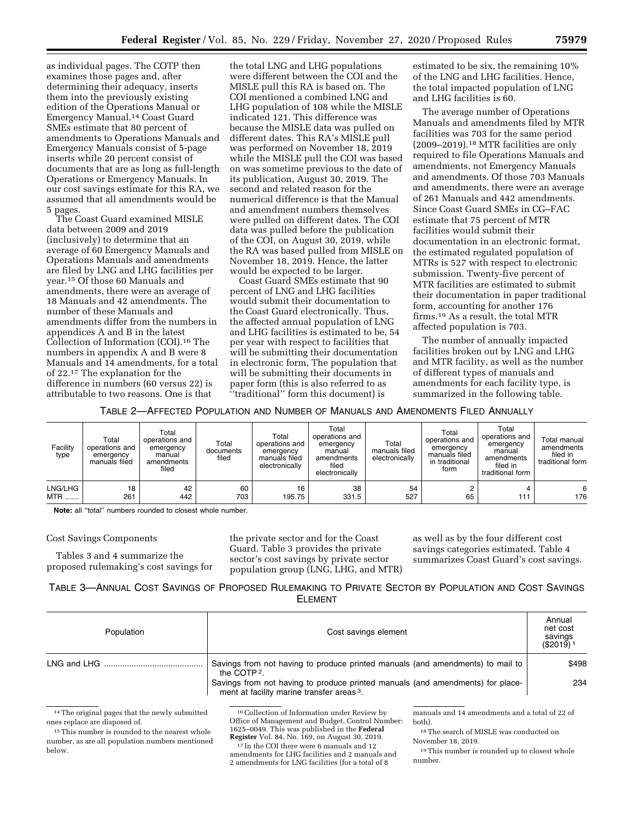as individual pages. The COTP then examines those pages and, after determining their adequacy, inserts them into the previously existing edition of the Operations Manual or Emergency Manual.14 Coast Guard SMEs estimate that 80 percent of amendments to Operations Manuals and Emergency Manuals consist of 5-page inserts while 20 percent consist of documents that are as long as full-length Operations or Emergency Manuals. In our cost savings estimate for this RA, we assumed that all amendments would be 5 pages.

The Coast Guard examined MISLE data between 2009 and 2019 (inclusively) to determine that an average of 60 Emergency Manuals and Operations Manuals and amendments are filed by LNG and LHG facilities per year.15 Of those 60 Manuals and amendments, there were an average of 18 Manuals and 42 amendments. The number of these Manuals and amendments differ from the numbers in appendices A and B in the latest Collection of Information (COI).16 The numbers in appendix A and B were 8 Manuals and 14 amendments, for a total of 22.17 The explanation for the difference in numbers (60 versus 22) is attributable to two reasons. One is that

the total LNG and LHG populations were different between the COI and the MISLE pull this RA is based on. The COI mentioned a combined LNG and LHG population of 108 while the MISLE indicated 121. This difference was because the MISLE data was pulled on different dates. This RA's MISLE pull was performed on November 18, 2019 while the MISLE pull the COI was based on was sometime previous to the date of its publication, August 30, 2019. The second and related reason for the numerical difference is that the Manual and amendment numbers themselves were pulled on different dates. The COI data was pulled before the publication of the COI, on August 30, 2019, while the RA was based pulled from MISLE on November 18, 2019. Hence, the latter would be expected to be larger.

Coast Guard SMEs estimate that 90 percent of LNG and LHG facilities would submit their documentation to the Coast Guard electronically. Thus, the affected annual population of LNG and LHG facilities is estimated to be, 54 per year with respect to facilities that will be submitting their documentation in electronic form, The population that will be submitting their documents in paper form (this is also referred to as ''traditional'' form this document) is

estimated to be six, the remaining 10% of the LNG and LHG facilities. Hence, the total impacted population of LNG and LHG facilities is 60.

The average number of Operations Manuals and amendments filed by MTR facilities was 703 for the same period (2009–2019).18 MTR facilities are only required to file Operations Manuals and amendments, not Emergency Manuals and amendments. Of those 703 Manuals and amendments, there were an average of 261 Manuals and 442 amendments. Since Coast Guard SMEs in CG–FAC estimate that 75 percent of MTR facilities would submit their documentation in an electronic format, the estimated regulated population of MTRs is 527 with respect to electronic submission. Twenty-five percent of MTR facilities are estimated to submit their documentation in paper traditional form, accounting for another 176 firms.19 As a result, the total MTR affected population is 703.

The number of annually impacted facilities broken out by LNG and LHG and MTR facility, as well as the number of different types of manuals and amendments for each facility type, is summarized in the following table.

TABLE 2—AFFECTED POPULATION AND NUMBER OF MANUALS AND AMENDMENTS FILED ANNUALLY

| Facility<br>type | Total<br>operations and<br>emergency<br>manuals filed | Total<br>operations and<br>emergency<br>manual<br>amendments<br>filed | Total<br>documents<br>filed | Total<br>operations and<br>emergency<br>manuals filed<br>electronically | Total<br>operations and<br>emergency<br>manual<br>amendments<br>filed<br>electronically | Total<br>manuals filed<br>electronically | Total<br>operations and<br>emergency<br>manuals filed<br>in traditional<br>form | Total<br>operations and<br>emergency<br>manual<br>amendments<br>filed in<br>traditional form | Total manual<br>amendments<br>filed in<br>traditional form |
|------------------|-------------------------------------------------------|-----------------------------------------------------------------------|-----------------------------|-------------------------------------------------------------------------|-----------------------------------------------------------------------------------------|------------------------------------------|---------------------------------------------------------------------------------|----------------------------------------------------------------------------------------------|------------------------------------------------------------|
| LNG/LHG          | 18                                                    | 42                                                                    | 60                          | 16                                                                      | 38                                                                                      | 54                                       | 65                                                                              | 4                                                                                            | 6                                                          |
| <b>MTR</b>       | 261                                                   | 442                                                                   | 703                         | 195.75                                                                  | 331.5                                                                                   | 527                                      |                                                                                 | 111                                                                                          | 176                                                        |

**Note:** all ''total'' numbers rounded to closest whole number.

#### Cost Savings Components

Tables 3 and 4 summarize the proposed rulemaking's cost savings for the private sector and for the Coast Guard. Table 3 provides the private sector's cost savings by private sector population group (LNG, LHG, and MTR)

as well as by the four different cost savings categories estimated. Table 4 summarizes Coast Guard's cost savings.

TABLE 3—ANNUAL COST SAVINGS OF PROPOSED RULEMAKING TO PRIVATE SECTOR BY POPULATION AND COST SAVINGS ELEMENT

| Population | Cost savings element                                                                                                                                                                                                                                 | Annual<br>net cost<br>savings<br>$($ \$2019) $^{\circ}$ |
|------------|------------------------------------------------------------------------------------------------------------------------------------------------------------------------------------------------------------------------------------------------------|---------------------------------------------------------|
|            | Savings from not having to produce printed manuals (and amendments) to mail to<br>the COTP <sup>2</sup> .<br>Savings from not having to produce printed manuals (and amendments) for place-<br>ment at facility marine transfer areas <sup>3</sup> . | \$498<br>234                                            |

<sup>14</sup>The original pages that the newly submitted ones replace are disposed of.

16Collection of Information under Review by Office of Management and Budget, Control Number: 1625–0049. This was published in the **Federal** 

 $\overline{^{17}}$  In the COI there were 6 manuals and 12 amendments for LHG facilities and 2 manuals and 2 amendments for LNG facilities (for a total of 8

manuals and 14 amendments and a total of 22 of both).

18The search of MISLE was conducted on November 18, 2019.

19This number is rounded up to closest whole number.

<sup>&</sup>lt;sup>15</sup>This number is rounded to the nearest whole number, as are all population numbers mentioned below.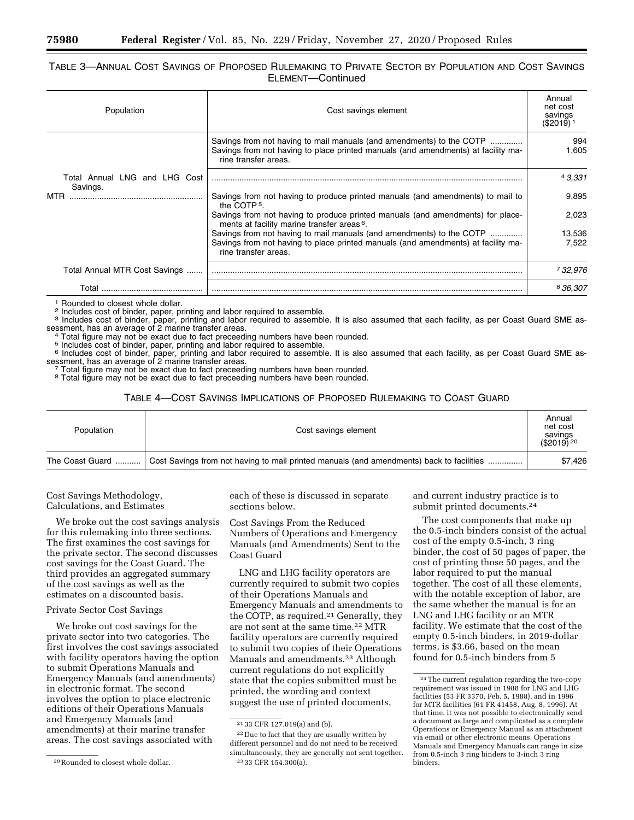### TABLE 3—ANNUAL COST SAVINGS OF PROPOSED RULEMAKING TO PRIVATE SECTOR BY POPULATION AND COST SAVINGS ELEMENT—Continued

| Population                                | Cost savings element                                                                                                                                                              | Annual<br>net cost<br>savings<br>$($2019)$ <sup>1</sup> |
|-------------------------------------------|-----------------------------------------------------------------------------------------------------------------------------------------------------------------------------------|---------------------------------------------------------|
|                                           | Savings from not having to mail manuals (and amendments) to the COTP<br>Savings from not having to place printed manuals (and amendments) at facility ma-<br>rine transfer areas. | 994<br>605. ا                                           |
| Total Annual LNG and LHG Cost<br>Savings. |                                                                                                                                                                                   | 43.331                                                  |
| MTR                                       | Savings from not having to produce printed manuals (and amendments) to mail to<br>the COTP <sub>5</sub> .                                                                         | 9,895                                                   |
|                                           | Savings from not having to produce printed manuals (and amendments) for place-<br>ments at facility marine transfer areas <sup>6</sup> .                                          | 2.023                                                   |
|                                           | Savings from not having to mail manuals (and amendments) to the COTP<br>Savings from not having to place printed manuals (and amendments) at facility ma-<br>rine transfer areas. | 13,536<br>7.522                                         |
| Total Annual MTR Cost Savings             |                                                                                                                                                                                   | 7 32,976                                                |
| Tota                                      |                                                                                                                                                                                   | 836.307                                                 |

<sup>1</sup> Rounded to closest whole dollar.<br><sup>2</sup> Includes cost of binder, paper, printing and labor required to assemble.<br><sup>3</sup> Includes cost of binder, paper, printing and labor required to assemble. It is also assumed that each fa

sessment, has an average of 2 marine transfer areas.<br><sup>4</sup> Total figure may not be exact due to fact preceeding numbers have been rounded.<br><sup>5</sup> Includes cost of binder, paper, printing and labor required to assemble.<br><sup>6</sup> Incl sessment, has an average of 2 marine transfer areas.<br>
8 Includes cost of binder, paper, printing and labor required to assemble. It is also assumed that each facility, as per Coast Guard SME assessment, has an average of 2

#### TABLE 4—COST SAVINGS IMPLICATIONS OF PROPOSED RULEMAKING TO COAST GUARD

| Population      | Cost savings element                                                                     |         |
|-----------------|------------------------------------------------------------------------------------------|---------|
| The Coast Guard | Cost Savings from not having to mail printed manuals (and amendments) back to facilities | \$7,426 |

Cost Savings Methodology, Calculations, and Estimates

We broke out the cost savings analysis for this rulemaking into three sections. The first examines the cost savings for the private sector. The second discusses cost savings for the Coast Guard. The third provides an aggregated summary of the cost savings as well as the estimates on a discounted basis.

### Private Sector Cost Savings

We broke out cost savings for the private sector into two categories. The first involves the cost savings associated with facility operators having the option to submit Operations Manuals and Emergency Manuals (and amendments) in electronic format. The second involves the option to place electronic editions of their Operations Manuals and Emergency Manuals (and amendments) at their marine transfer areas. The cost savings associated with

each of these is discussed in separate sections below.

Cost Savings From the Reduced Numbers of Operations and Emergency Manuals (and Amendments) Sent to the Coast Guard

LNG and LHG facility operators are currently required to submit two copies of their Operations Manuals and Emergency Manuals and amendments to the COTP, as required.21 Generally, they are not sent at the same time.22 MTR facility operators are currently required to submit two copies of their Operations Manuals and amendments.<sup>23</sup> Although current regulations do not explicitly state that the copies submitted must be printed, the wording and context suggest the use of printed documents,

and current industry practice is to submit printed documents.24

The cost components that make up the 0.5-inch binders consist of the actual cost of the empty 0.5-inch, 3 ring binder, the cost of 50 pages of paper, the cost of printing those 50 pages, and the labor required to put the manual together. The cost of all these elements, with the notable exception of labor, are the same whether the manual is for an LNG and LHG facility or an MTR facility. We estimate that the cost of the empty 0.5-inch binders, in 2019-dollar terms, is \$3.66, based on the mean found for 0.5-inch binders from 5

<sup>20</sup>Rounded to closest whole dollar.

<sup>21</sup> 33 CFR 127.019(a) and (b).

<sup>22</sup> Due to fact that they are usually written by different personnel and do not need to be received simultaneously, they are generally not sent together. 23 33 CFR 154.300(a).

<sup>24</sup>The current regulation regarding the two-copy requirement was issued in 1988 for LNG and LHG facilities (53 FR 3370, Feb. 5, 1988), and in 1996 for MTR facilities (61 FR 41458, Aug. 8, 1996). At that time, it was not possible to electronically send a document as large and complicated as a complete Operations or Emergency Manual as an attachment via email or other electronic means. Operations Manuals and Emergency Manuals can range in size from 0.5-inch 3 ring binders to 3-inch 3 ring binders.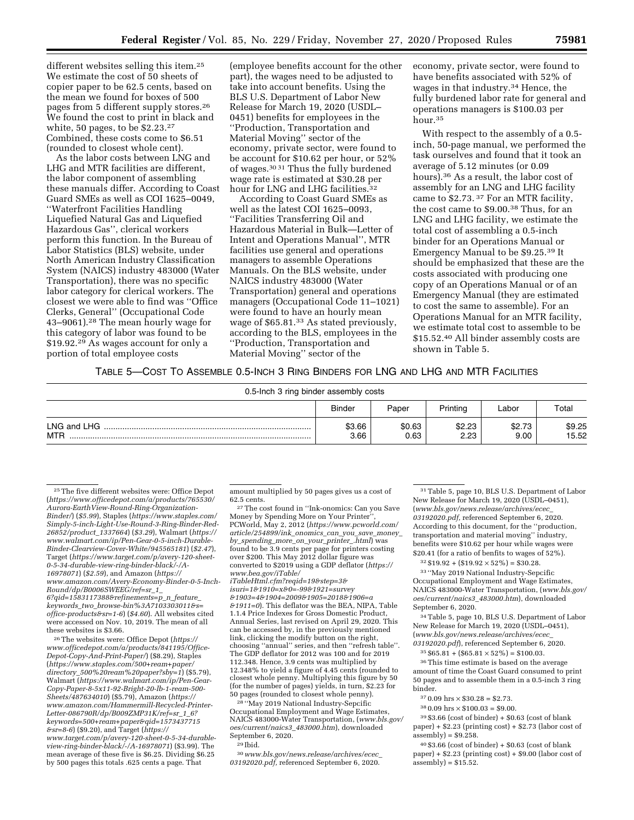different websites selling this item.25 We estimate the cost of 50 sheets of copier paper to be 62.5 cents, based on the mean we found for boxes of 500 pages from 5 different supply stores.26 We found the cost to print in black and white, 50 pages, to be \$2.23.27 Combined, these costs come to \$6.51 (rounded to closest whole cent).

As the labor costs between LNG and LHG and MTR facilities are different, the labor component of assembling these manuals differ. According to Coast Guard SMEs as well as COI 1625–0049, ''Waterfront Facilities Handling Liquefied Natural Gas and Liquefied Hazardous Gas'', clerical workers perform this function. In the Bureau of Labor Statistics (BLS) website, under North American Industry Classification System (NAICS) industry 483000 (Water Transportation), there was no specific labor category for clerical workers. The closest we were able to find was ''Office Clerks, General'' (Occupational Code 43–9061).28 The mean hourly wage for this category of labor was found to be \$19.92.29 As wages account for only a portion of total employee costs

(employee benefits account for the other part), the wages need to be adjusted to take into account benefits. Using the BLS U.S. Department of Labor New Release for March 19, 2020 (USDL– 0451) benefits for employees in the ''Production, Transportation and Material Moving'' sector of the economy, private sector, were found to be account for \$10.62 per hour, or 52% of wages.30 31 Thus the fully burdened wage rate is estimated at \$30.28 per hour for LNG and LHG facilities.<sup>32</sup>

According to Coast Guard SMEs as well as the latest COI 1625–0093, ''Facilities Transferring Oil and Hazardous Material in Bulk—Letter of Intent and Operations Manual'', MTR facilities use general and operations managers to assemble Operations Manuals. On the BLS website, under NAICS industry 483000 (Water Transportation) general and operations managers (Occupational Code 11–1021) were found to have an hourly mean wage of \$65.81.33 As stated previously, according to the BLS, employees in the ''Production, Transportation and Material Moving'' sector of the

economy, private sector, were found to have benefits associated with 52% of wages in that industry.34 Hence, the fully burdened labor rate for general and operations managers is \$100.03 per hour.35

With respect to the assembly of a 0.5 inch, 50-page manual, we performed the task ourselves and found that it took an average of 5.12 minutes (or 0.09 hours).36 As a result, the labor cost of assembly for an LNG and LHG facility came to \$2.73. 37 For an MTR facility, the cost came to \$9.00.38 Thus, for an LNG and LHG facility, we estimate the total cost of assembling a 0.5-inch binder for an Operations Manual or Emergency Manual to be \$9.25.39 It should be emphasized that these are the costs associated with producing one copy of an Operations Manual or of an Emergency Manual (they are estimated to cost the same to assemble). For an Operations Manual for an MTR facility, we estimate total cost to assemble to be \$15.52.40 All binder assembly costs are shown in Table 5.

### TABLE 5—COST TO ASSEMBLE 0.5-INCH 3 RING BINDERS FOR LNG AND LHG AND MTR FACILITIES

| 0.5-lnch 3 ring binder assembly costs |                |                |                |                |                 |
|---------------------------------------|----------------|----------------|----------------|----------------|-----------------|
|                                       | <b>Binder</b>  | Paper          | Printing       | Labor          | Total           |
| LNG and LHG<br>MTR                    | \$3.66<br>3.66 | \$0.63<br>0.63 | \$2.23<br>2.23 | \$2.73<br>9.00 | \$9.25<br>15.52 |

*keywords*\_*two*\_*[browse-bin%3A7103303011&s=](https://www.amazon.com/Avery-Economy-Binder-0-5-Inch-Round/dp/B0006SWEEG/ref=sr_1_6?qid=1583117388&refinements=p_n_feature_keywords_two_browse-bin%3A7103303011&s=office-products&sr=1-6) [office-products&sr=1-6](https://www.amazon.com/Avery-Economy-Binder-0-5-Inch-Round/dp/B0006SWEEG/ref=sr_1_6?qid=1583117388&refinements=p_n_feature_keywords_two_browse-bin%3A7103303011&s=office-products&sr=1-6)*) (*\$4.60*). All websites cited were accessed on Nov. 10, 2019. The mean of all these websites is \$3.66.

26The websites were: Office Depot (*[https://](https://www.officedepot.com/a/products/841195/Office-Depot-Copy-And-Print-Paper/) [www.officedepot.com/a/products/841195/Office-](https://www.officedepot.com/a/products/841195/Office-Depot-Copy-And-Print-Paper/)[Depot-Copy-And-Print-Paper/](https://www.officedepot.com/a/products/841195/Office-Depot-Copy-And-Print-Paper/)*) (\$8.29), Staples (*[https://www.staples.com/500+ream+paper/](https://www.staples.com/500+ream+paper/directory_500%20ream%20paper?sby=1)  directory*\_*[500%20ream%20paper?sby=1](https://www.staples.com/500+ream+paper/directory_500%20ream%20paper?sby=1)*) (\$5.79), Walmart (*[https://www.walmart.com/ip/Pen-Gear-](https://www.walmart.com/ip/Pen-Gear-Copy-Paper-8-5x11-92-Bright-20-lb-1-ream-500-Sheets/487634010)[Copy-Paper-8-5x11-92-Bright-20-lb-1-ream-500-](https://www.walmart.com/ip/Pen-Gear-Copy-Paper-8-5x11-92-Bright-20-lb-1-ream-500-Sheets/487634010) [Sheets/487634010](https://www.walmart.com/ip/Pen-Gear-Copy-Paper-8-5x11-92-Bright-20-lb-1-ream-500-Sheets/487634010)*) (\$5.79), Amazon (*[https://](https://www.amazon.com/Hammermill-Recycled-Printer-Letter-086790R/dp/B009ZMP31K/ref=sr_1_6?keywords=500+ream+paper&qid=1573437715&sr=8-6) [www.amazon.com/Hammermill-Recycled-Printer-](https://www.amazon.com/Hammermill-Recycled-Printer-Letter-086790R/dp/B009ZMP31K/ref=sr_1_6?keywords=500+ream+paper&qid=1573437715&sr=8-6)[Letter-086790R/dp/B009ZMP31K/ref=sr](https://www.amazon.com/Hammermill-Recycled-Printer-Letter-086790R/dp/B009ZMP31K/ref=sr_1_6?keywords=500+ream+paper&qid=1573437715&sr=8-6)*\_*1*\_*6? [keywords=500+ream+paper&qid=1573437715](https://www.amazon.com/Hammermill-Recycled-Printer-Letter-086790R/dp/B009ZMP31K/ref=sr_1_6?keywords=500+ream+paper&qid=1573437715&sr=8-6) [&sr=8-6](https://www.amazon.com/Hammermill-Recycled-Printer-Letter-086790R/dp/B009ZMP31K/ref=sr_1_6?keywords=500+ream+paper&qid=1573437715&sr=8-6)*) (\$9.20), and Target (*[https://](https://www.target.com/p/avery-120-sheet-0-5-34-durable-view-ring-binder-black/-/A-16978071) [www.target.com/p/avery-120-sheet-0-5-34-durable](https://www.target.com/p/avery-120-sheet-0-5-34-durable-view-ring-binder-black/-/A-16978071)[view-ring-binder-black/-/A-16978071](https://www.target.com/p/avery-120-sheet-0-5-34-durable-view-ring-binder-black/-/A-16978071)*) (\$3.99). The mean average of these five is \$6.25. Dividing \$6.25 by 500 pages this totals .625 cents a page. That

amount multiplied by 50 pages gives us a cost of

<sup>27</sup>The cost found in "Ink-onomics: Can you Save Money by Spending More on Your Printer' PCWorld, May 2, 2012 (*[https://www.pcworld.com/](https://www.pcworld.com/article/254899/ink_onomics_can_you_save_money_by_spending_more_on_your_printer_.html)  [article/254899/ink](https://www.pcworld.com/article/254899/ink_onomics_can_you_save_money_by_spending_more_on_your_printer_.html)*\_*onomics*\_*can*\_*you*\_*save*\_*money*\_ *by*\_*[spending](https://www.pcworld.com/article/254899/ink_onomics_can_you_save_money_by_spending_more_on_your_printer_.html)*\_*more*\_*on*\_*your*\_*printer*\_*.html*) was found to be 3.9 cents per page for printers costing over \$200. This May 2012 dollar figure was converted to \$2019 using a GDP deflator (*[https://](https://www.bea.gov/iTable/iTableHtml.cfm?reqid=19&step=3&isuri=1&1910=x&0=-99&1921=survey&1903=4&1904=2009&1905=2018&1906=a&1911=0) [www.bea.gov/iTable/](https://www.bea.gov/iTable/iTableHtml.cfm?reqid=19&step=3&isuri=1&1910=x&0=-99&1921=survey&1903=4&1904=2009&1905=2018&1906=a&1911=0)* 

*[iTableHtml.cfm?reqid=19&step=3&](https://www.bea.gov/iTable/iTableHtml.cfm?reqid=19&step=3&isuri=1&1910=x&0=-99&1921=survey&1903=4&1904=2009&1905=2018&1906=a&1911=0) [isuri=1&1910=x&0=-99&1921=survey](https://www.bea.gov/iTable/iTableHtml.cfm?reqid=19&step=3&isuri=1&1910=x&0=-99&1921=survey&1903=4&1904=2009&1905=2018&1906=a&1911=0) [&1903=4&1904=2009&1905=2018&1906=a](https://www.bea.gov/iTable/iTableHtml.cfm?reqid=19&step=3&isuri=1&1910=x&0=-99&1921=survey&1903=4&1904=2009&1905=2018&1906=a&1911=0) [&1911=0](https://www.bea.gov/iTable/iTableHtml.cfm?reqid=19&step=3&isuri=1&1910=x&0=-99&1921=survey&1903=4&1904=2009&1905=2018&1906=a&1911=0)*). This deflator was the BEA, NIPA, Table 1.1.4 Price Indexes for Gross Domestic Product, Annual Series, last revised on April 29, 2020. This can be accessed by, in the previously mentioned link, clicking the modify button on the right, choosing ''annual'' series, and then ''refresh table''. The GDP deflator for 2012 was 100 and for 2019 112.348. Hence, 3.9 cents was multiplied by 12.348% to yield a figure of 4.45 cents (rounded to closest whole penny. Multiplying this figure by 50 (for the number of pages) yields, in turn, \$2.23 for 50 pages (rounded to closest whole penny).

28 ''May 2019 National Industry-Sepcific Occupational Employment and Wage Estimates, NAICS 483000-Water Transportation, (*[www.bls.gov/](http://www.bls.gov/oes/current/naics3_483000.htm)  [oes/current/naics3](http://www.bls.gov/oes/current/naics3_483000.htm)*\_*483000.htm*), downloaded September 6, 2020.

29 Ibid.

30*[www.bls.gov/news.release/archives/ecec](http://www.bls.gov/news.release/archives/ecec_03192020.pdf)*\_ *[03192020.pdf,](http://www.bls.gov/news.release/archives/ecec_03192020.pdf)* referenced September 6, 2020.

31Table 5, page 10, BLS U.S. Department of Labor New Release for March 19, 2020 (USDL–0451), (*[www.bls.gov/news.release/archives/ecec](http://www.bls.gov/news.release/archives/ecec_03192020.pdf)*\_ *[03192020.pdf,](http://www.bls.gov/news.release/archives/ecec_03192020.pdf)* referenced September 6, 2020. According to this document, for the ''production, transportation and material moving'' industry, benefits were \$10.62 per hour while wages were \$20.41 (for a ratio of benfits to wages of 52%).

 $32 \$19.92 + \$19.92 \times 52\% = \$30.28$ .

33 ''May 2019 National Industry-Sepcific Occupational Employment and Wage Estimates, NAICS 483000-Water Transportation, (*[www.bls.gov/](http://www.bls.gov/oes/current/naics3_483000.htm)  [oes/current/naics3](http://www.bls.gov/oes/current/naics3_483000.htm)*\_*483000.htm*), downloaded September 6, 2020.

34Table 5, page 10, BLS U.S. Department of Labor New Release for March 19, 2020 (USDL-0451), (*[www.bls.gov/news.release/archives/ecec](http://www.bls.gov/news.release/archives/ecec_03192020.pdf)*\_

*[03192020.pdf](http://www.bls.gov/news.release/archives/ecec_03192020.pdf)*), referenced September 6, 2020.  $35 $65.81 + ( $65.81 \times 52\%) = $100.03.$ 

36This time estimate is based on the average amount of time the Coast Guard consumed to print 50 pages and to assemble them in a 0.5-inch 3 ring binder.

- $370.09$  hrs  $\times$  \$30.28 = \$2.73.
- $380.09$  hrs  $\times$  \$100.03 = \$9.00.

39 \$3.66 (cost of binder) + \$0.63 (cost of blank paper) + \$2.23 (printing cost) + \$2.73 (labor cost of  $assently) = $9.258.$ 

40 \$3.66 (cost of binder) + \$0.63 (cost of blank paper) + \$2.23 (printing cost) + \$9.00 (labor cost of  $assembly) = $15.52.$ 

<sup>25</sup>The five different websites were: Office Depot (*[https://www.officedepot.com/a/products/765530/](https://www.officedepot.com/a/products/765530/Aurora-EarthView-Round-Ring-Organization-Binder/) [Aurora-EarthView-Round-Ring-Organization-](https://www.officedepot.com/a/products/765530/Aurora-EarthView-Round-Ring-Organization-Binder/)[Binder/](https://www.officedepot.com/a/products/765530/Aurora-EarthView-Round-Ring-Organization-Binder/)*) (*\$5.99*), Staples (*[https://www.staples.com/](https://www.staples.com/Simply-5-inch-Light-Use-Round-3-Ring-Binder-Red-26852/product_1337664) [Simply-5-inch-Light-Use-Round-3-Ring-Binder-Red-](https://www.staples.com/Simply-5-inch-Light-Use-Round-3-Ring-Binder-Red-26852/product_1337664)[26852/product](https://www.staples.com/Simply-5-inch-Light-Use-Round-3-Ring-Binder-Red-26852/product_1337664)*\_*1337664*) (*\$3.29*), Walmart (*[https://](https://www.walmart.com/ip/Pen-Gear-0-5-inch-Durable-Binder-Clearview-Cover-White/945565181) [www.walmart.com/ip/Pen-Gear-0-5-inch-Durable-](https://www.walmart.com/ip/Pen-Gear-0-5-inch-Durable-Binder-Clearview-Cover-White/945565181)[Binder-Clearview-Cover-White/945565181](https://www.walmart.com/ip/Pen-Gear-0-5-inch-Durable-Binder-Clearview-Cover-White/945565181)*) (*\$2.47*), Target (*[https://www.target.com/p/avery-120-sheet-](https://www.target.com/p/avery-120-sheet-0-5-34-durable-view-ring-binder-black/-/A-16978071)[0-5-34-durable-view-ring-binder-black/-/A-](https://www.target.com/p/avery-120-sheet-0-5-34-durable-view-ring-binder-black/-/A-16978071)[16978071](https://www.target.com/p/avery-120-sheet-0-5-34-durable-view-ring-binder-black/-/A-16978071)*) (*\$2.59*), and Amazon (*[https://](https://www.amazon.com/Avery-Economy-Binder-0-5-Inch-Round/dp/B0006SWEEG/ref=sr_1_6?qid=1583117388&refinements=p_n_feature_keywords_two_browse-bin%3A7103303011&s=office-products&sr=1-6) [www.amazon.com/Avery-Economy-Binder-0-5-Inch-](https://www.amazon.com/Avery-Economy-Binder-0-5-Inch-Round/dp/B0006SWEEG/ref=sr_1_6?qid=1583117388&refinements=p_n_feature_keywords_two_browse-bin%3A7103303011&s=office-products&sr=1-6)[Round/dp/B0006SWEEG/ref=sr](https://www.amazon.com/Avery-Economy-Binder-0-5-Inch-Round/dp/B0006SWEEG/ref=sr_1_6?qid=1583117388&refinements=p_n_feature_keywords_two_browse-bin%3A7103303011&s=office-products&sr=1-6)*\_*1*\_ *[6?qid=1583117388&refinements=p](https://www.amazon.com/Avery-Economy-Binder-0-5-Inch-Round/dp/B0006SWEEG/ref=sr_1_6?qid=1583117388&refinements=p_n_feature_keywords_two_browse-bin%3A7103303011&s=office-products&sr=1-6)*\_*n*\_*feature*\_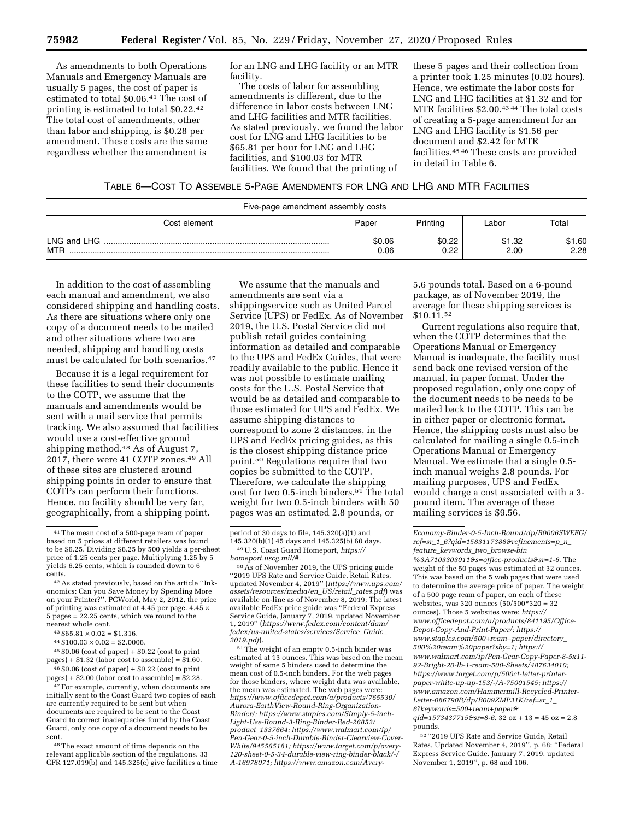As amendments to both Operations Manuals and Emergency Manuals are usually 5 pages, the cost of paper is estimated to total \$0.06.41 The cost of printing is estimated to total \$0.22.42 The total cost of amendments, other than labor and shipping, is \$0.28 per amendment. These costs are the same regardless whether the amendment is

for an LNG and LHG facility or an MTR facility.

The costs of labor for assembling amendments is different, due to the difference in labor costs between LNG and LHG facilities and MTR facilities. As stated previously, we found the labor cost for LNG and LHG facilities to be \$65.81 per hour for LNG and LHG facilities, and \$100.03 for MTR facilities. We found that the printing of

these 5 pages and their collection from a printer took 1.25 minutes (0.02 hours). Hence, we estimate the labor costs for LNG and LHG facilities at \$1.32 and for MTR facilities \$2.00.43 44 The total costs of creating a 5-page amendment for an LNG and LHG facility is \$1.56 per document and \$2.42 for MTR facilities.45 46 These costs are provided in detail in Table 6.

### TABLE 6—COST TO ASSEMBLE 5-PAGE AMENDMENTS FOR LNG AND LHG AND MTR FACILITIES

| . .                       |                |                |                |                |
|---------------------------|----------------|----------------|----------------|----------------|
| Cost element              | Paper          | Printing       | ∟abor          | Total          |
| LNG and LHG<br><b>MTP</b> | \$0.06<br>0.06 | \$0.22<br>0.22 | \$1.32<br>2.00 | \$1.60<br>2.28 |

In addition to the cost of assembling each manual and amendment, we also considered shipping and handling costs. As there are situations where only one copy of a document needs to be mailed and other situations where two are needed, shipping and handling costs must be calculated for both scenarios.47

Because it is a legal requirement for these facilities to send their documents to the COTP, we assume that the manuals and amendments would be sent with a mail service that permits tracking. We also assumed that facilities would use a cost-effective ground shipping method.48 As of August 7, 2017, there were 41 COTP zones.49 All of these sites are clustered around shipping points in order to ensure that COTPs can perform their functions. Hence, no facility should be very far, geographically, from a shipping point.

45 \$0.06 (cost of paper) + \$0.22 (cost to print pages) + \$1.32 (labor cost to assemble) = \$1.60. 46 \$0.06 (cost of paper) + \$0.22 (cost to print

 $pages$ ) + \$2.00 (labor cost to assemble) =  $$2.28$ .  $47$  For example, currently, when documents are initially sent to the Coast Guard two copies of each are currently required to be sent but when documents are required to be sent to the Coast Guard to correct inadequacies found by the Coast Guard, only one copy of a document needs to be

sent. 48The exact amount of time depends on the relevant applicable section of the regulations. 33  $CFR$  127.019(b) and 145.325(c) give facilities a time

We assume that the manuals and amendments are sent via a shippingservice such as United Parcel Service (UPS) or FedEx. As of November 2019, the U.S. Postal Service did not publish retail guides containing information as detailed and comparable to the UPS and FedEx Guides, that were readily available to the public. Hence it was not possible to estimate mailing costs for the U.S. Postal Service that would be as detailed and comparable to those estimated for UPS and FedEx. We assume shipping distances to correspond to zone 2 distances, in the UPS and FedEx pricing guides, as this is the closest shipping distance price point.50 Regulations require that two copies be submitted to the COTP. Therefore, we calculate the shipping cost for two 0.5-inch binders.51 The total weight for two 0.5-inch binders with 50 pages was an estimated 2.8 pounds, or

50As of November 2019, the UPS pricing guide ''2019 UPS Rate and Service Guide, Retail Rates, updated November 4, 2019'' (*[https://www.ups.com/](https://www.ups.com/assets/resources/media/en_US/retail_rates.pdf) [assets/resources/media/en](https://www.ups.com/assets/resources/media/en_US/retail_rates.pdf)*\_*US/retail*\_*rates.pdf*) was available on-line as of November 8, 2019; The latest available FedEx price guide was ''Federal Express Service Guide, January 7, 2019, updated November 1, 2019'' (*[https://www.fedex.com/content/dam/](https://www.fedex.com/content/dam/fedex/us-united-states/services/Service_Guide_2019.pdf)  [fedex/us-united-states/services/Service](https://www.fedex.com/content/dam/fedex/us-united-states/services/Service_Guide_2019.pdf)*\_*Guide*\_ *[2019.pdf](https://www.fedex.com/content/dam/fedex/us-united-states/services/Service_Guide_2019.pdf)*).

51The weight of an empty 0.5-inch binder was estimated at 13 ounces. This was based on the mean weight of same 5 binders used to determine the mean cost of 0.5-inch binders. For the web pages for those binders, where weight data was available, the mean was estimated. The web pages were: *[https://www.officedepot.com/a/products/765530/](https://www.officedepot.com/a/products/765530/Aurora-EarthView-Round-Ring-Organization-Binder/)  [Aurora-EarthView-Round-Ring-Organization-](https://www.officedepot.com/a/products/765530/Aurora-EarthView-Round-Ring-Organization-Binder/)[Binder/;](https://www.officedepot.com/a/products/765530/Aurora-EarthView-Round-Ring-Organization-Binder/) [https://www.staples.com/Simply-5-inch-](https://www.staples.com/Simply-5-inch-Light-Use-Round-3-Ring-Binder-Red-26852/product_1337664)[Light-Use-Round-3-Ring-Binder-Red-26852/](https://www.staples.com/Simply-5-inch-Light-Use-Round-3-Ring-Binder-Red-26852/product_1337664)  product*\_*[1337664;](https://www.staples.com/Simply-5-inch-Light-Use-Round-3-Ring-Binder-Red-26852/product_1337664) [https://www.walmart.com/ip/](https://www.walmart.com/ip/Pen-Gear-0-5-inch-Durable-Binder-Clearview-Cover-White/945565181)  [Pen-Gear-0-5-inch-Durable-Binder-Clearview-Cover-](https://www.walmart.com/ip/Pen-Gear-0-5-inch-Durable-Binder-Clearview-Cover-White/945565181)[White/945565181;](https://www.walmart.com/ip/Pen-Gear-0-5-inch-Durable-Binder-Clearview-Cover-White/945565181) [https://www.target.com/p/avery-](https://www.target.com/p/avery-120-sheet-0-5-34-durable-view-ring-binder-black/-/A-16978071)[120-sheet-0-5-34-durable-view-ring-binder-black/-/](https://www.target.com/p/avery-120-sheet-0-5-34-durable-view-ring-binder-black/-/A-16978071) [A-16978071](https://www.target.com/p/avery-120-sheet-0-5-34-durable-view-ring-binder-black/-/A-16978071); [https://www.amazon.com/Avery-](https://www.amazon.com/Avery-Economy-Binder-0-5-Inch-Round/dp/B0006SWEEG/ref=sr_1_6?qid=1583117388&refinements=p_n_feature_keywords_two_browse-bin%3A7103303011&s=office-products&sr=1-6)*

5.6 pounds total. Based on a 6-pound package, as of November 2019, the average for these shipping services is \$10.11.52

Current regulations also require that, when the COTP determines that the Operations Manual or Emergency Manual is inadequate, the facility must send back one revised version of the manual, in paper format. Under the proposed regulation, only one copy of the document needs to be needs to be mailed back to the COTP. This can be in either paper or electronic format. Hence, the shipping costs must also be calculated for mailing a single 0.5-inch Operations Manual or Emergency Manual. We estimate that a single 0.5 inch manual weighs 2.8 pounds. For mailing purposes, UPS and FedEx would charge a cost associated with a 3 pound item. The average of these mailing services is \$9.56.

*[Economy-Binder-0-5-Inch-Round/dp/B0006SWEEG/](https://www.amazon.com/Avery-Economy-Binder-0-5-Inch-Round/dp/B0006SWEEG/ref=sr_1_6?qid=1583117388&refinements=p_n_feature_keywords_two_browse-bin%3A7103303011&s=office-products&sr=1-6)  ref=sr*\_*1*\_*[6?qid=1583117388&refinements=p](https://www.amazon.com/Avery-Economy-Binder-0-5-Inch-Round/dp/B0006SWEEG/ref=sr_1_6?qid=1583117388&refinements=p_n_feature_keywords_two_browse-bin%3A7103303011&s=office-products&sr=1-6)*\_*n*\_ *feature*\_*keywords*\_*two*\_*[browse-bin](https://www.amazon.com/Avery-Economy-Binder-0-5-Inch-Round/dp/B0006SWEEG/ref=sr_1_6?qid=1583117388&refinements=p_n_feature_keywords_two_browse-bin%3A7103303011&s=office-products&sr=1-6) [%3A7103303011&s=office-products&sr=1-6.](https://www.amazon.com/Avery-Economy-Binder-0-5-Inch-Round/dp/B0006SWEEG/ref=sr_1_6?qid=1583117388&refinements=p_n_feature_keywords_two_browse-bin%3A7103303011&s=office-products&sr=1-6)* The weight of the 50 pages was estimated at 32 ounces. This was based on the 5 web pages that were used to determine the average price of paper. The weight of a 500 page ream of paper, on each of these websites, was 320 ounces (50/500\*320 = 32 ounces). Those 5 websites were: *[https://](https://www.officedepot.com/a/products/841195/Office-Depot-Copy-And-Print-Paper/) [www.officedepot.com/a/products/841195/Office-](https://www.officedepot.com/a/products/841195/Office-Depot-Copy-And-Print-Paper/)[Depot-Copy-And-Print-Paper/;](https://www.officedepot.com/a/products/841195/Office-Depot-Copy-And-Print-Paper/) [https://](https://www.staples.com/500+ream+paper/directory_500%20ream%20paper?sby=1) [www.staples.com/500+ream+paper/directory](https://www.staples.com/500+ream+paper/directory_500%20ream%20paper?sby=1)*\_ *[500%20ream%20paper?sby=1;](https://www.staples.com/500+ream+paper/directory_500%20ream%20paper?sby=1) [https://](https://www.walmart.com/ip/Pen-Gear-Copy-Paper-8-5x11-92-Bright-20-lb-1-ream-500-Sheets/487634010) [www.walmart.com/ip/Pen-Gear-Copy-Paper-8-5x11-](https://www.walmart.com/ip/Pen-Gear-Copy-Paper-8-5x11-92-Bright-20-lb-1-ream-500-Sheets/487634010)  [92-Bright-20-lb-1-ream-500-Sheets/487634010;](https://www.walmart.com/ip/Pen-Gear-Copy-Paper-8-5x11-92-Bright-20-lb-1-ream-500-Sheets/487634010) [https://www.target.com/p/500ct-letter-printer](https://www.target.com/p/500ct-letter-printer-paper-white-up-up-153/-/A-75001545)[paper-white-up-up-153/-/A-75001545;](https://www.target.com/p/500ct-letter-printer-paper-white-up-up-153/-/A-75001545) [https://](https://www.amazon.com/Hammermill-Recycled-Printer-Letter-086790R/dp/B009ZMP31K/ref=sr_1_6?keywords=500+ream+paper&qid=1573437715&sr=8-6) [www.amazon.com/Hammermill-Recycled-Printer-](https://www.amazon.com/Hammermill-Recycled-Printer-Letter-086790R/dp/B009ZMP31K/ref=sr_1_6?keywords=500+ream+paper&qid=1573437715&sr=8-6)[Letter-086790R/dp/B009ZMP31K/ref=sr](https://www.amazon.com/Hammermill-Recycled-Printer-Letter-086790R/dp/B009ZMP31K/ref=sr_1_6?keywords=500+ream+paper&qid=1573437715&sr=8-6)*\_*1*\_ *[6?keywords=500+ream+paper&](https://www.amazon.com/Hammermill-Recycled-Printer-Letter-086790R/dp/B009ZMP31K/ref=sr_1_6?keywords=500+ream+paper&qid=1573437715&sr=8-6)*

*[qid=1573437715&sr=8-6.](https://www.amazon.com/Hammermill-Recycled-Printer-Letter-086790R/dp/B009ZMP31K/ref=sr_1_6?keywords=500+ream+paper&qid=1573437715&sr=8-6)* 32 oz + 13 = 45 oz = 2.8 pounds.

52 ''2019 UPS Rate and Service Guide, Retail Rates, Updated November 4, 2019'', p. 68; ''Federal Express Service Guide. January 7, 2019, updated November 1, 2019'', p. 68 and 106.

<sup>41</sup>The mean cost of a 500-page ream of paper based on 5 prices at different retailers was found to be \$6.25. Dividing \$6.25 by 500 yields a per-sheet price of 1.25 cents per page. Multiplying 1.25 by 5 yields 6.25 cents, which is rounded down to 6 cents.

<sup>42</sup>As stated previously, based on the article ''Inkonomics: Can you Save Money by Spending More on your Printer?'', PCWorld, May 2, 2012, the price of printing was estimated at 4.45 per page.  $4.45 \times 5$  pages = 22.25 cents, which we round to the nearest whole cent.

 $43 $65.81 \times 0.02 = $1.316$ .

 $44 $100.03 \times 0.02 = $2.0006.$ 

period of 30 days to file, 145.320(a)(1) and<br>145.320(b)(1) 45 days and 145.325(b) 60 days. 145.320(b)(1) 45 days and 145.325(b) 60 days. 49U.S. Coast Guard Homeport,*https://*

*[homeport.uscg.mil/#.](https://homeport.uscg.mil/#)*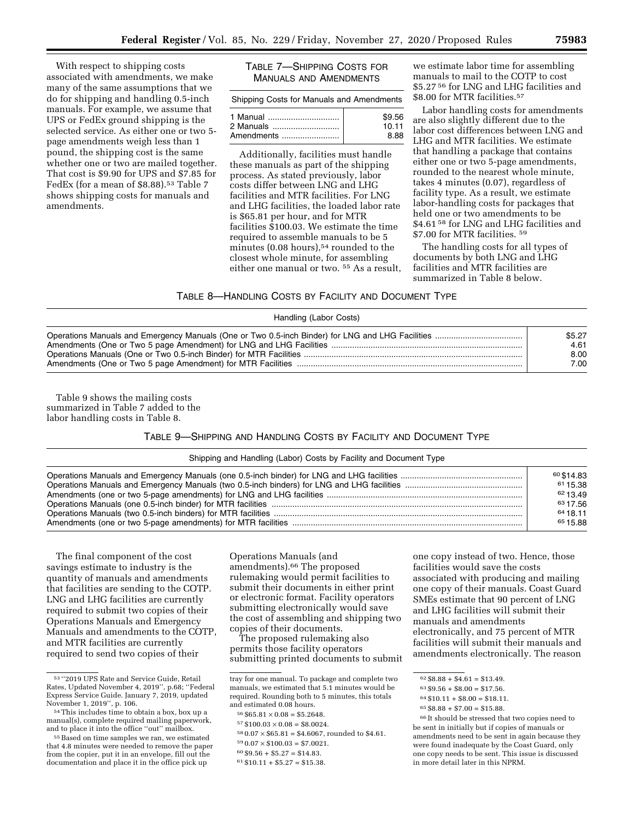With respect to shipping costs associated with amendments, we make many of the same assumptions that we do for shipping and handling 0.5-inch manuals. For example, we assume that UPS or FedEx ground shipping is the selected service. As either one or two 5 page amendments weigh less than 1 pound, the shipping cost is the same whether one or two are mailed together. That cost is \$9.90 for UPS and \$7.85 for FedEx (for a mean of \$8.88).<sup>53</sup> Table 7 shows shipping costs for manuals and amendments.

| TABLE 7-SHIPPING COSTS FOR    |
|-------------------------------|
| <b>MANUALS AND AMENDMENTS</b> |

| Shipping Costs for Manuals and Amendments |        |  |  |
|-------------------------------------------|--------|--|--|
| 1 Manual                                  | \$9.56 |  |  |
| 2 Manuals                                 | 10.11  |  |  |
| Amendments                                | 8.88   |  |  |

Additionally, facilities must handle these manuals as part of the shipping process. As stated previously, labor costs differ between LNG and LHG facilities and MTR facilities. For LNG and LHG facilities, the loaded labor rate is \$65.81 per hour, and for MTR facilities \$100.03. We estimate the time required to assemble manuals to be 5 minutes  $(0.08 \text{ hours})$ ,<sup>54</sup> rounded to the closest whole minute, for assembling either one manual or two. 55 As a result,

we estimate labor time for assembling manuals to mail to the COTP to cost \$5.27 56 for LNG and LHG facilities and \$8.00 for MTR facilities.57

Labor handling costs for amendments are also slightly different due to the labor cost differences between LNG and LHG and MTR facilities. We estimate that handling a package that contains either one or two 5-page amendments, rounded to the nearest whole minute, takes 4 minutes (0.07), regardless of facility type. As a result, we estimate labor-handling costs for packages that held one or two amendments to be \$4.61<sup>58</sup> for LNG and LHG facilities and \$7.00 for MTR facilities. 59

The handling costs for all types of documents by both LNG and LHG facilities and MTR facilities are summarized in Table 8 below.

# TABLE 8—HANDLING COSTS BY FACILITY AND DOCUMENT TYPE Handling (Labor Costs)

| $.001139$ ( $=0.001$ $=$ $0.0010$ |        |
|-----------------------------------|--------|
|                                   | \$5.27 |
|                                   | 4.61   |
|                                   | 8.00   |
|                                   | 7.00   |

Table 9 shows the mailing costs summarized in Table 7 added to the labor handling costs in Table 8.

### TABLE 9—SHIPPING AND HANDLING COSTS BY FACILITY AND DOCUMENT TYPE

#### Shipping and Handling (Labor) Costs by Facility and Document Type

| 60 \$14.83 |
|------------|
| 6115.38    |
| 62 13 49   |
| 6317.56    |
| 6418.11    |
| 6515.88    |

The final component of the cost savings estimate to industry is the quantity of manuals and amendments that facilities are sending to the COTP. LNG and LHG facilities are currently required to submit two copies of their Operations Manuals and Emergency Manuals and amendments to the COTP, and MTR facilities are currently required to send two copies of their

Operations Manuals (and amendments).66 The proposed rulemaking would permit facilities to submit their documents in either print or electronic format. Facility operators submitting electronically would save the cost of assembling and shipping two copies of their documents.

The proposed rulemaking also permits those facility operators submitting printed documents to submit

- $580.07 \times $65.81 = $4.6067$ , rounded to \$4.61.
- $590.07 \times $100.03 = $7.0021$ .

 $60 \$9.56 + \$5.27 = \$14.83.$ 

 $61 $10.11 + $5.27 = $15.38.$ 

one copy instead of two. Hence, those facilities would save the costs associated with producing and mailing one copy of their manuals. Coast Guard SMEs estimate that 90 percent of LNG and LHG facilities will submit their manuals and amendments electronically, and 75 percent of MTR facilities will submit their manuals and amendments electronically. The reason

66 It should be stressed that two copies need to be sent in initially but if copies of manuals or amendments need to be sent in again because they were found inadequate by the Coast Guard, only one copy needs to be sent. This issue is discussed in more detail later in this NPRM.

<sup>53</sup> ''2019 UPS Rate and Service Guide, Retail Rates, Updated November 4, 2019'', p.68; ''Federal Express Service Guide. January 7, 2019, updated November 1, 2019'', p. 106.<br><sup>54</sup> This includes time to obtain a box, box up a

manual(s), complete required mailing paperwork, and to place it into the office ''out'' mailbox.

<sup>55</sup> Based on time samples we ran, we estimated that 4.8 minutes were needed to remove the paper from the copier, put it in an envelope, fill out the documentation and place it in the office pick up

tray for one manual. To package and complete two manuals, we estimated that 5.1 minutes would be required. Rounding both to 5 minutes, this totals and estimated 0.08 hours.

 $56$  \$65.81  $\times$  0.08 = \$5.2648.

 $^{57}\,$  \$100.03  $\times$  0.08  $=$  \$8.0024.

 $^{62}\,$   $\pmb{88.88}$  +  $\pmb{84.61}$  =  $\pmb{813.49}.$ 

 $63 $9.56 + $8.00 = $17.56.$ 

 $64 $10.11 + $8.00 = $18.11$ .

 $65 $8.88 + $7.00 = $15.88.$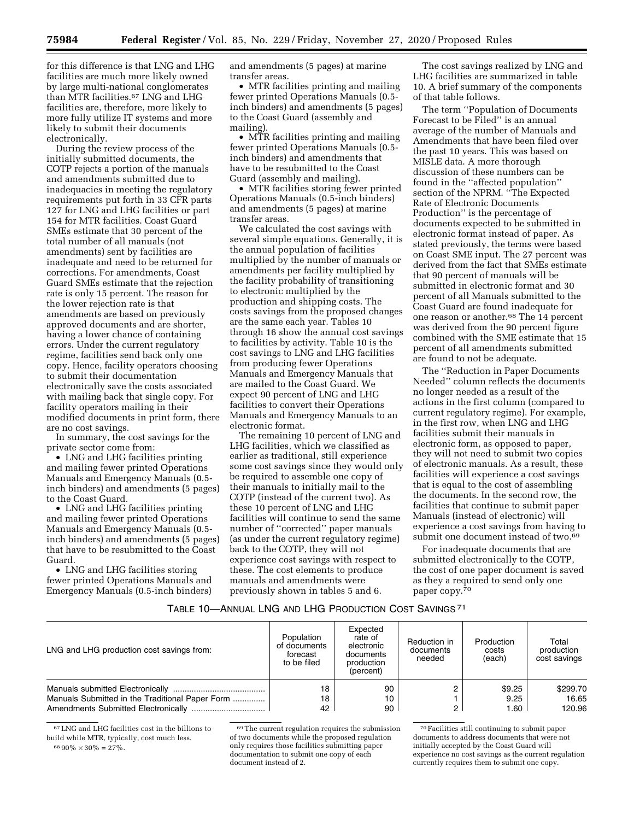for this difference is that LNG and LHG facilities are much more likely owned by large multi-national conglomerates than MTR facilities.67 LNG and LHG facilities are, therefore, more likely to more fully utilize IT systems and more likely to submit their documents electronically.

During the review process of the initially submitted documents, the COTP rejects a portion of the manuals and amendments submitted due to inadequacies in meeting the regulatory requirements put forth in 33 CFR parts 127 for LNG and LHG facilities or part 154 for MTR facilities. Coast Guard SMEs estimate that 30 percent of the total number of all manuals (not amendments) sent by facilities are inadequate and need to be returned for corrections. For amendments, Coast Guard SMEs estimate that the rejection rate is only 15 percent. The reason for the lower rejection rate is that amendments are based on previously approved documents and are shorter, having a lower chance of containing errors. Under the current regulatory regime, facilities send back only one copy. Hence, facility operators choosing to submit their documentation electronically save the costs associated with mailing back that single copy. For facility operators mailing in their modified documents in print form, there are no cost savings.

In summary, the cost savings for the private sector come from:

• LNG and LHG facilities printing and mailing fewer printed Operations Manuals and Emergency Manuals (0.5 inch binders) and amendments (5 pages) to the Coast Guard.

• LNG and LHG facilities printing and mailing fewer printed Operations Manuals and Emergency Manuals (0.5 inch binders) and amendments (5 pages) that have to be resubmitted to the Coast Guard.

• LNG and LHG facilities storing fewer printed Operations Manuals and Emergency Manuals (0.5-inch binders)

and amendments (5 pages) at marine transfer areas.

• MTR facilities printing and mailing fewer printed Operations Manuals (0.5 inch binders) and amendments (5 pages) to the Coast Guard (assembly and mailing).

• MTR facilities printing and mailing fewer printed Operations Manuals (0.5 inch binders) and amendments that have to be resubmitted to the Coast Guard (assembly and mailing).

• MTR facilities storing fewer printed Operations Manuals (0.5-inch binders) and amendments (5 pages) at marine transfer areas.

We calculated the cost savings with several simple equations. Generally, it is the annual population of facilities multiplied by the number of manuals or amendments per facility multiplied by the facility probability of transitioning to electronic multiplied by the production and shipping costs. The costs savings from the proposed changes are the same each year. Tables 10 through 16 show the annual cost savings to facilities by activity. Table 10 is the cost savings to LNG and LHG facilities from producing fewer Operations Manuals and Emergency Manuals that are mailed to the Coast Guard. We expect 90 percent of LNG and LHG facilities to convert their Operations Manuals and Emergency Manuals to an electronic format.

The remaining 10 percent of LNG and LHG facilities, which we classified as earlier as traditional, still experience some cost savings since they would only be required to assemble one copy of their manuals to initially mail to the COTP (instead of the current two). As these 10 percent of LNG and LHG facilities will continue to send the same number of ''corrected'' paper manuals (as under the current regulatory regime) back to the COTP, they will not experience cost savings with respect to these. The cost elements to produce manuals and amendments were previously shown in tables 5 and 6.

The cost savings realized by LNG and LHG facilities are summarized in table 10. A brief summary of the components of that table follows.

The term ''Population of Documents Forecast to be Filed'' is an annual average of the number of Manuals and Amendments that have been filed over the past 10 years. This was based on MISLE data. A more thorough discussion of these numbers can be found in the ''affected population'' section of the NPRM. ''The Expected Rate of Electronic Documents Production'' is the percentage of documents expected to be submitted in electronic format instead of paper. As stated previously, the terms were based on Coast SME input. The 27 percent was derived from the fact that SMEs estimate that 90 percent of manuals will be submitted in electronic format and 30 percent of all Manuals submitted to the Coast Guard are found inadequate for one reason or another.68 The 14 percent was derived from the 90 percent figure combined with the SME estimate that 15 percent of all amendments submitted are found to not be adequate.

The ''Reduction in Paper Documents Needed'' column reflects the documents no longer needed as a result of the actions in the first column (compared to current regulatory regime). For example, in the first row, when LNG and LHG facilities submit their manuals in electronic form, as opposed to paper, they will not need to submit two copies of electronic manuals. As a result, these facilities will experience a cost savings that is equal to the cost of assembling the documents. In the second row, the facilities that continue to submit paper Manuals (instead of electronic) will experience a cost savings from having to submit one document instead of two.<sup>69</sup>

For inadequate documents that are submitted electronically to the COTP, the cost of one paper document is saved as they a required to send only one paper copy.70

#### TABLE 10—ANNUAL LNG AND LHG PRODUCTION COST SAVINGS 71

| LNG and LHG production cost savings from:       | Population<br>of documents<br>forecast<br>to be filed | Expected<br>rate of<br>electronic<br>documents<br>production<br>(percent) | Reduction in<br>documents<br>needed | Production<br>costs<br>(each) | Total<br>production<br>cost savings |
|-------------------------------------------------|-------------------------------------------------------|---------------------------------------------------------------------------|-------------------------------------|-------------------------------|-------------------------------------|
|                                                 | 18                                                    | 90                                                                        |                                     | \$9.25                        | \$299.70                            |
| Manuals Submitted in the Traditional Paper Form | 18                                                    | 10                                                                        |                                     | 9.25                          | 16.65                               |
|                                                 | 42                                                    | 90                                                                        |                                     | 1.60                          | 120.96                              |

67LNG and LHG facilities cost in the billions to build while MTR, typically, cost much less.  $6890\% \times 30\% = 27\%$ .

 $\rm ^{69}$  The current regulation requires the submission of two documents while the proposed regulation only requires those facilities submitting paper documentation to submit one copy of each document instead of 2.

70Facilities still continuing to submit paper documents to address documents that were not initially accepted by the Coast Guard will experience no cost savings as the current regulation currently requires them to submit one copy.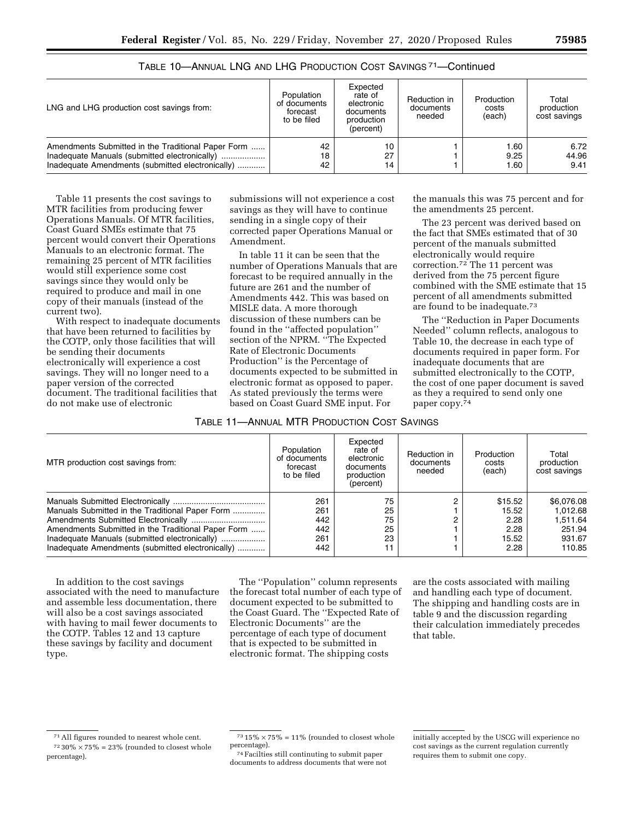| LNG and LHG production cost savings from:          | Population<br>of documents<br>forecast<br>to be filed | Expected<br>rate of<br>electronic<br>documents<br>production<br>(percent) | Reduction in<br>documents<br>needed | Production<br>costs<br>(each) | Total<br>production<br>cost savings |  |
|----------------------------------------------------|-------------------------------------------------------|---------------------------------------------------------------------------|-------------------------------------|-------------------------------|-------------------------------------|--|
| Amendments Submitted in the Traditional Paper Form | 42                                                    | 10                                                                        |                                     | 1.60                          | 6.72                                |  |
|                                                    | 18                                                    | 27                                                                        |                                     | 9.25                          | 44.96                               |  |
| Inadequate Amendments (submitted electronically)   | 42                                                    | 14                                                                        |                                     | 1.60                          | 9.41                                |  |

TABLE 10—ANNUAL LNG AND LHG PRODUCTION COST SAVINGS 71—Continued

Table 11 presents the cost savings to MTR facilities from producing fewer Operations Manuals. Of MTR facilities, Coast Guard SMEs estimate that 75 percent would convert their Operations Manuals to an electronic format. The remaining 25 percent of MTR facilities would still experience some cost savings since they would only be required to produce and mail in one copy of their manuals (instead of the current two).

With respect to inadequate documents that have been returned to facilities by the COTP, only those facilities that will be sending their documents electronically will experience a cost savings. They will no longer need to a paper version of the corrected document. The traditional facilities that do not make use of electronic

submissions will not experience a cost savings as they will have to continue sending in a single copy of their corrected paper Operations Manual or Amendment.

In table 11 it can be seen that the number of Operations Manuals that are forecast to be required annually in the future are 261 and the number of Amendments 442. This was based on MISLE data. A more thorough discussion of these numbers can be found in the ''affected population'' section of the NPRM. ''The Expected Rate of Electronic Documents Production'' is the Percentage of documents expected to be submitted in electronic format as opposed to paper. As stated previously the terms were based on Coast Guard SME input. For

the manuals this was 75 percent and for the amendments 25 percent.

The 23 percent was derived based on the fact that SMEs estimated that of 30 percent of the manuals submitted electronically would require correction.72 The 11 percent was derived from the 75 percent figure combined with the SME estimate that 15 percent of all amendments submitted are found to be inadequate.73

The ''Reduction in Paper Documents Needed'' column reflects, analogous to Table 10, the decrease in each type of documents required in paper form. For inadequate documents that are submitted electronically to the COTP, the cost of one paper document is saved as they a required to send only one paper copy.74

| TABLE 11-ANNUAL MTR PRODUCTION COST SAVINGS |
|---------------------------------------------|
|---------------------------------------------|

| MTR production cost savings from:                                                                                                                                                                          | Population<br>of documents<br>forecast<br>to be filed | Expected<br>rate of<br>electronic<br>documents<br>production<br>(percent) | Reduction in<br>documents<br>needed | Production<br>costs<br>(each)                     | Total<br>production<br>cost savings                              |
|------------------------------------------------------------------------------------------------------------------------------------------------------------------------------------------------------------|-------------------------------------------------------|---------------------------------------------------------------------------|-------------------------------------|---------------------------------------------------|------------------------------------------------------------------|
| Manuals Submitted in the Traditional Paper Form<br>Amendments Submitted in the Traditional Paper Form<br>Inadequate Manuals (submitted electronically)<br>Inadequate Amendments (submitted electronically) | 261<br>261<br>442<br>442<br>261<br>442                | 75<br>25<br>75<br>25<br>23<br>11                                          | C<br>c                              | \$15.52<br>15.52<br>2.28<br>2.28<br>15.52<br>2.28 | \$6,076,08<br>1.012.68<br>1.511.64<br>251.94<br>931.67<br>110.85 |

In addition to the cost savings associated with the need to manufacture and assemble less documentation, there will also be a cost savings associated with having to mail fewer documents to the COTP. Tables 12 and 13 capture these savings by facility and document type.

The ''Population'' column represents the forecast total number of each type of document expected to be submitted to the Coast Guard. The ''Expected Rate of Electronic Documents'' are the percentage of each type of document that is expected to be submitted in electronic format. The shipping costs

are the costs associated with mailing and handling each type of document. The shipping and handling costs are in table 9 and the discussion regarding their calculation immediately precedes that table.

<sup>74</sup> Facilties still continuting to submit paper documents to address documents that were not

<sup>71</sup>All figures rounded to nearest whole cent.  $^{72}$  30%  $\times$  75% = 23% (rounded to closest whole percentage).

 $^{73}$  15%  $\times$  75% = 11% (rounded to closest whole percentage).

initially accepted by the USCG will experience no cost savings as the current regulation currently requires them to submit one copy.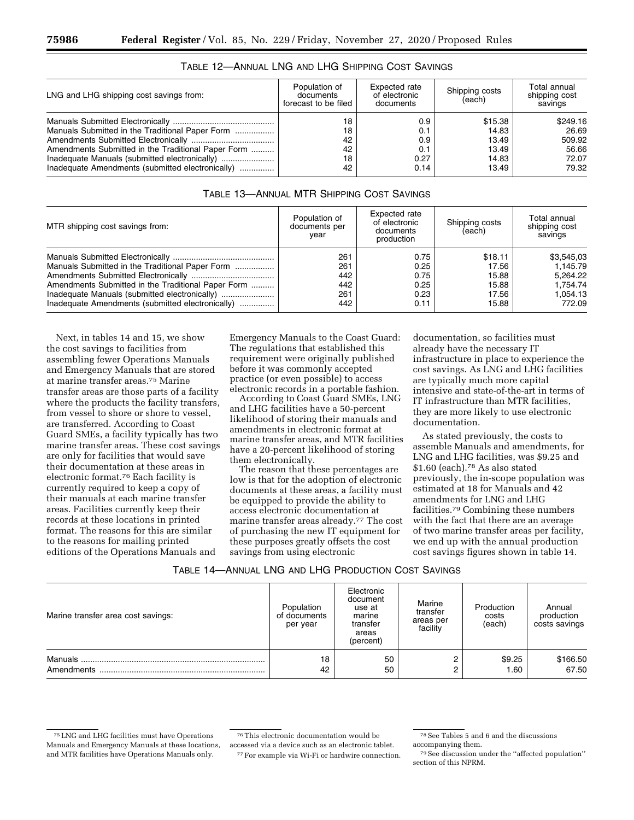| Population of<br>documents<br>forecast to be filed | Expected rate<br>of electronic<br>documents | Shipping costs<br>(each)                    | Total annual<br>shipping cost<br>savings               |
|----------------------------------------------------|---------------------------------------------|---------------------------------------------|--------------------------------------------------------|
| 18<br>18<br>42<br>42<br>18                         | 0.9<br>0.1<br>0.9<br>0.1<br>0.27            | \$15.38<br>14.83<br>13.49<br>13.49<br>14.83 | \$249.16<br>26.69<br>509.92<br>56.66<br>72.07<br>79.32 |
|                                                    | 42                                          | 0.14                                        | 13.49                                                  |

### TABLE 12—ANNUAL LNG AND LHG SHIPPING COST SAVINGS

| MTR shipping cost savings from:                    | Population of<br>documents per<br>year | Expected rate<br>of electronic<br>documents<br>production | Shipping costs<br>(each) | Total annual<br>shipping cost<br>savings |
|----------------------------------------------------|----------------------------------------|-----------------------------------------------------------|--------------------------|------------------------------------------|
|                                                    | 261                                    | 0.75                                                      | \$18.11                  | \$3.545.03                               |
| Manuals Submitted in the Traditional Paper Form    | 261                                    | 0.25                                                      | 17.56                    | 1.145.79                                 |
|                                                    | 442                                    | 0.75                                                      | 15.88                    | 5.264.22                                 |
| Amendments Submitted in the Traditional Paper Form | 442                                    | 0.25                                                      | 15.88                    | 1.754.74                                 |
|                                                    | 261                                    | 0.23                                                      | 17.56                    | 1.054.13                                 |
| Inadequate Amendments (submitted electronically)   | 442                                    | 0.11                                                      | 15.88                    | 772.09                                   |

Next, in tables 14 and 15, we show the cost savings to facilities from assembling fewer Operations Manuals and Emergency Manuals that are stored at marine transfer areas.75 Marine transfer areas are those parts of a facility where the products the facility transfers, from vessel to shore or shore to vessel, are transferred. According to Coast Guard SMEs, a facility typically has two marine transfer areas. These cost savings are only for facilities that would save their documentation at these areas in electronic format.76 Each facility is currently required to keep a copy of their manuals at each marine transfer areas. Facilities currently keep their records at these locations in printed format. The reasons for this are similar to the reasons for mailing printed editions of the Operations Manuals and

Emergency Manuals to the Coast Guard: The regulations that established this requirement were originally published before it was commonly accepted practice (or even possible) to access electronic records in a portable fashion.

According to Coast Guard SMEs, LNG and LHG facilities have a 50-percent likelihood of storing their manuals and amendments in electronic format at marine transfer areas, and MTR facilities have a 20-percent likelihood of storing them electronically.

The reason that these percentages are low is that for the adoption of electronic documents at these areas, a facility must be equipped to provide the ability to access electronic documentation at marine transfer areas already.77 The cost of purchasing the new IT equipment for these purposes greatly offsets the cost savings from using electronic

documentation, so facilities must already have the necessary IT infrastructure in place to experience the cost savings. As LNG and LHG facilities are typically much more capital intensive and state-of-the-art in terms of IT infrastructure than MTR facilities, they are more likely to use electronic documentation.

As stated previously, the costs to assemble Manuals and amendments, for LNG and LHG facilities, was \$9.25 and \$1.60 (each).<sup>78</sup> As also stated previously, the in-scope population was estimated at 18 for Manuals and 42 amendments for LNG and LHG facilities.79 Combining these numbers with the fact that there are an average of two marine transfer areas per facility, we end up with the annual production cost savings figures shown in table 14.

| Marine transfer area cost savings: | Population<br>of documents<br>per year | Electronic<br>document<br>use at<br>marine<br>transfer<br>areas<br>(percent) | Marine<br>transfer<br>areas per<br>facility | Production<br>costs<br>(each) | Annual<br>production<br>costs savings |
|------------------------------------|----------------------------------------|------------------------------------------------------------------------------|---------------------------------------------|-------------------------------|---------------------------------------|
| Manuals                            | 18                                     | 50                                                                           | 2                                           | \$9.25                        | \$166.50                              |
| Amendments                         | 42                                     | 50                                                                           | 2                                           | 1.60                          | 67.50                                 |

76This electronic documentation would be accessed via a device such as an electronic tablet.

77For example via Wi-Fi or hardwire connection.

accompanying them.

<sup>75</sup>LNG and LHG facilities must have Operations Manuals and Emergency Manuals at these locations, and MTR facilities have Operations Manuals only.

<sup>78</sup>See Tables 5 and 6 and the discussions

<sup>79</sup>See discussion under the ''affected population'' section of this NPRM.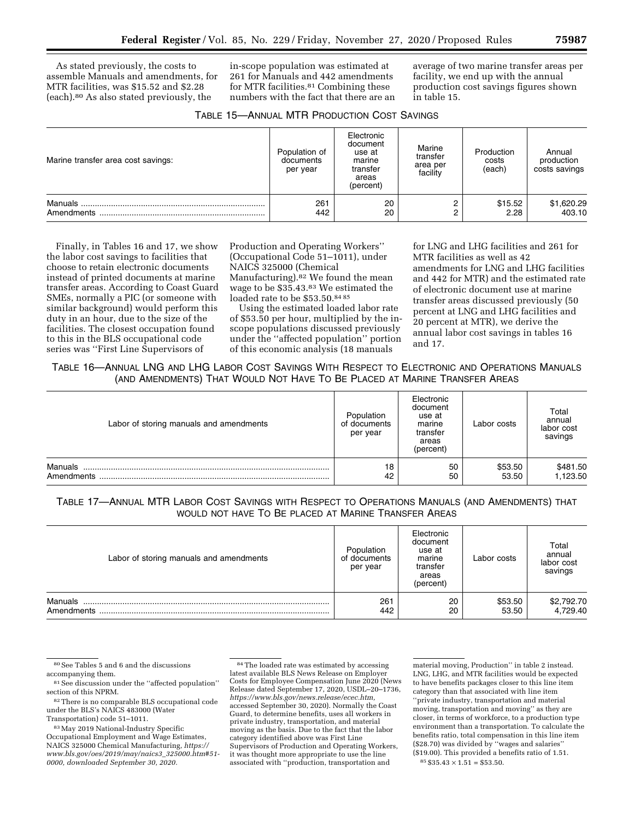As stated previously, the costs to assemble Manuals and amendments, for MTR facilities, was \$15.52 and \$2.28 (each).80 As also stated previously, the

in-scope population was estimated at 261 for Manuals and 442 amendments for MTR facilities.81 Combining these numbers with the fact that there are an average of two marine transfer areas per facility, we end up with the annual production cost savings figures shown in table 15.

| TABLE 15-ANNUAL MTR PRODUCTION COST SAVINGS |  |  |  |  |
|---------------------------------------------|--|--|--|--|
|---------------------------------------------|--|--|--|--|

| Marine transfer area cost savings: | Population of<br>documents<br>per year | Electronic<br>document<br>use at<br>marine<br>transfer<br>areas<br>(percent) | Marine<br>transfer<br>area per<br>facility | Production<br>costs<br>(each) | Annual<br>production<br>costs savings |
|------------------------------------|----------------------------------------|------------------------------------------------------------------------------|--------------------------------------------|-------------------------------|---------------------------------------|
| Manuals.<br>Amendments             | 261<br>442                             | 20<br>20                                                                     | ⌒<br>∩<br>ے                                | \$15.52<br>2.28               | \$1,620.29<br>403.10                  |

Finally, in Tables 16 and 17, we show the labor cost savings to facilities that choose to retain electronic documents instead of printed documents at marine transfer areas. According to Coast Guard SMEs, normally a PIC (or someone with similar background) would perform this duty in an hour, due to the size of the facilities. The closest occupation found to this in the BLS occupational code series was ''First Line Supervisors of

Production and Operating Workers'' (Occupational Code 51–1011), under NAICS 325000 (Chemical Manufacturing).<sup>82</sup> We found the mean wage to be \$35.43.83 We estimated the loaded rate to be \$53.50.84 85

Using the estimated loaded labor rate of \$53.50 per hour, multiplied by the inscope populations discussed previously under the ''affected population'' portion of this economic analysis (18 manuals

for LNG and LHG facilities and 261 for MTR facilities as well as 42 amendments for LNG and LHG facilities and 442 for MTR) and the estimated rate of electronic document use at marine transfer areas discussed previously (50 percent at LNG and LHG facilities and 20 percent at MTR), we derive the annual labor cost savings in tables 16 and 17.

### TABLE 16—ANNUAL LNG AND LHG LABOR COST SAVINGS WITH RESPECT TO ELECTRONIC AND OPERATIONS MANUALS (AND AMENDMENTS) THAT WOULD NOT HAVE TO BE PLACED AT MARINE TRANSFER AREAS

| Labor of storing manuals and amendments | Population<br>of documents<br>per year | Electronic<br>document<br>use at<br>marine<br>transfer<br>areas<br>(percent) | Labor costs      | Total<br>annual<br>labor cost<br>savings |
|-----------------------------------------|----------------------------------------|------------------------------------------------------------------------------|------------------|------------------------------------------|
| Manuals<br>Amendments                   | 18<br>42                               | 50<br>50                                                                     | \$53.50<br>53.50 | \$481.50<br>1,123.50                     |

### TABLE 17—ANNUAL MTR LABOR COST SAVINGS WITH RESPECT TO OPERATIONS MANUALS (AND AMENDMENTS) THAT WOULD NOT HAVE TO BE PLACED AT MARINE TRANSFER AREAS

| Labor of storing manuals and amendments | Population<br>of documents<br>per year | Electronic<br>document<br>use at<br>marine<br>transfer<br>areas<br>(percent) | Labor costs      | Total<br>annual<br>labor cost<br>savings |
|-----------------------------------------|----------------------------------------|------------------------------------------------------------------------------|------------------|------------------------------------------|
| Manuals<br>Amendments                   | 261<br>442                             | 20<br>20                                                                     | \$53.50<br>53.50 | \$2,792.70<br>4,729.40                   |

<sup>80</sup>See Tables 5 and 6 and the discussions accompanying them.

<sup>&</sup>lt;sup>81</sup> See discussion under the "affected population" section of this NPRM.

<sup>82</sup>There is no comparable BLS occupational code under the BLS's NAICS 483000 (Water Transportation) code 51–1011.

<sup>83</sup>May 2019 National-Industry Specific Occupational Employment and Wage Estimates, NAICS 325000 Chemical Manufacturing, *[https://](https://www.bls.gov/oes/2019/may/naics3_325000.htm#51-0000)  [www.bls.gov/oes/2019/may/naics3](https://www.bls.gov/oes/2019/may/naics3_325000.htm#51-0000)*\_*325000.htm#51- [0000,](https://www.bls.gov/oes/2019/may/naics3_325000.htm#51-0000) downloaded September 30, 2020.* 

<sup>84</sup>The loaded rate was estimated by accessing latest available BLS News Release on Employer Costs for Employee Compensation June 2020 (News Release dated September 17, 2020, USDL–20–1736, *[https://www.bls.gov/news.release/ecec.htm,](https://www.bls.gov/news.release/ecec.htm)*  accessed September 30, 2020). Normally the Coast Guard, to determine benefits, uses all workers in private industry, transportation, and material moving as the basis. Due to the fact that the labor category identified above was First Line Supervisors of Production and Operating Workers, it was thought more appropriate to use the line associated with ''production, transportation and

material moving, Production'' in table 2 instead. LNG, LHG, and MTR facilities would be expected to have benefits packages closer to this line item category than that associated with line item ''private industry, transportation and material moving, transportation and moving'' as they are closer, in terms of workforce, to a production type environment than a transportation. To calculate the benefits ratio, total compensation in this line item (\$28.70) was divided by ''wages and salaries'' (\$19.00). This provided a benefits ratio of 1.51.  $85 \$35.43 \times 1.51 = \$53.50.$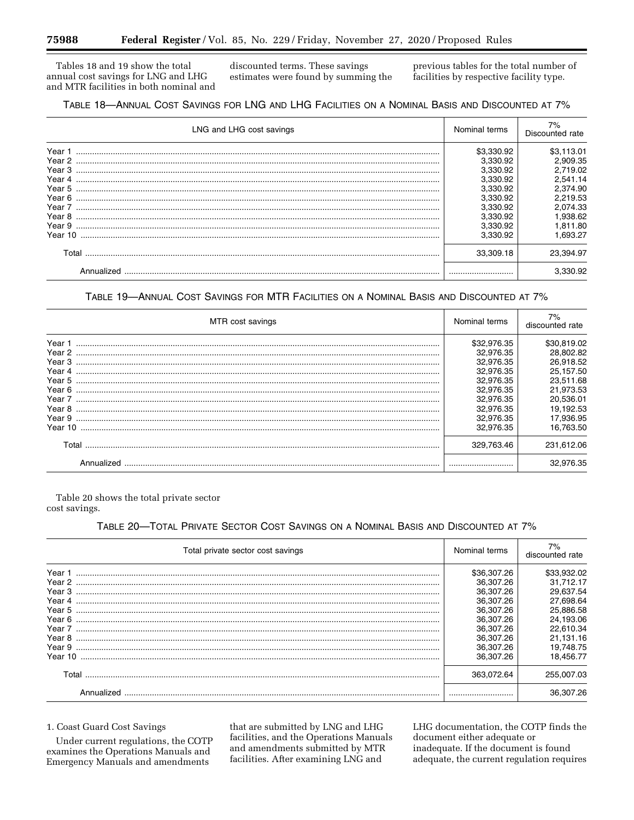Tables 18 and 19 show the total annual cost savings for LNG and LHG and MTR facilities in both nominal and discounted terms. These savings estimates were found by summing the previous tables for the total number of facilities by respective facility type.

| TABLE 18—ANNUAL COST SAVINGS FOR LNG AND LHG FACILITIES ON A NOMINAL BASIS AND DISCOUNTED AT 7% |  |  |  |
|-------------------------------------------------------------------------------------------------|--|--|--|
|-------------------------------------------------------------------------------------------------|--|--|--|

| LNG and LHG cost savings             | Nominal terms                                                                                              | Discounted rate                                                                                            |
|--------------------------------------|------------------------------------------------------------------------------------------------------------|------------------------------------------------------------------------------------------------------------|
| Year 1<br>Year 4<br>Year 5<br>Year 9 | \$3,330.92<br>3.330.92<br>3.330.92<br>3.330.92<br>3.330.92<br>3.330.92<br>3.330.92<br>3.330.92<br>3.330.92 | \$3.113.01<br>2.909.35<br>2.719.02<br>2.541.14<br>2,374.90<br>2.219.53<br>2.074.33<br>1.938.62<br>1.811.80 |
| Year 10<br>Total                     | 3.330.92<br>33.309.18                                                                                      | 1.693.27<br>23.394.97                                                                                      |
|                                      |                                                                                                            | 3.330.92                                                                                                   |

### TABLE 19-ANNUAL COST SAVINGS FOR MTR FACILITIES ON A NOMINAL BASIS AND DISCOUNTED AT 7%

| MTR cost savings                                                                        | Nominal terms                                                                                                                    | 7%<br>discounted rate                                                                                                            |
|-----------------------------------------------------------------------------------------|----------------------------------------------------------------------------------------------------------------------------------|----------------------------------------------------------------------------------------------------------------------------------|
| Year 1<br>Year 2<br>Year 3<br>Year 4<br>Year 5<br>Year 6<br>Year 7<br>Year 8<br>Year 10 | \$32,976.35<br>32,976.35<br>32.976.35<br>32,976.35<br>32.976.35<br>32.976.35<br>32.976.35<br>32.976.35<br>32,976.35<br>32.976.35 | \$30,819.02<br>28,802.82<br>26.918.52<br>25,157.50<br>23.511.68<br>21,973.53<br>20,536.01<br>19.192.53<br>17,936.95<br>16,763.50 |
| Total                                                                                   | 329,763.46                                                                                                                       | 231.612.06                                                                                                                       |
| Annualized                                                                              |                                                                                                                                  | 32.976.35                                                                                                                        |

Table 20 shows the total private sector cost savings.

## TABLE 20-TOTAL PRIVATE SECTOR COST SAVINGS ON A NOMINAL BASIS AND DISCOUNTED AT 7%

| Total private sector cost savings | Nominal terms | 7%<br>discounted rate |
|-----------------------------------|---------------|-----------------------|
| Year 1                            | \$36,307.26   | \$33,932.02           |
|                                   | 36.307.26     | 31.712.17             |
|                                   | 36.307.26     | 29,637.54             |
| Year 4                            | 36.307.26     | 27,698.64             |
| Year 5                            | 36.307.26     | 25,886.58             |
|                                   | 36.307.26     | 24.193.06             |
|                                   | 36.307.26     | 22.610.34             |
|                                   | 36,307.26     | 21,131.16             |
|                                   | 36.307.26     | 19.748.75             |
| Year 10                           | 36.307.26     | 18.456.77             |
| Total                             | 363.072.64    | 255.007.03            |
| Annualized                        |               | 36.307.26             |

### 1. Coast Guard Cost Savings

Under current regulations, the COTP examines the Operations Manuals and Emergency Manuals and amendments

that are submitted by LNG and LHG facilities, and the Operations Manuals and amendments submitted by MTR facilities. After examining LNG and

LHG documentation, the COTP finds the document either adequate or inadequate. If the document is found adequate, the current regulation requires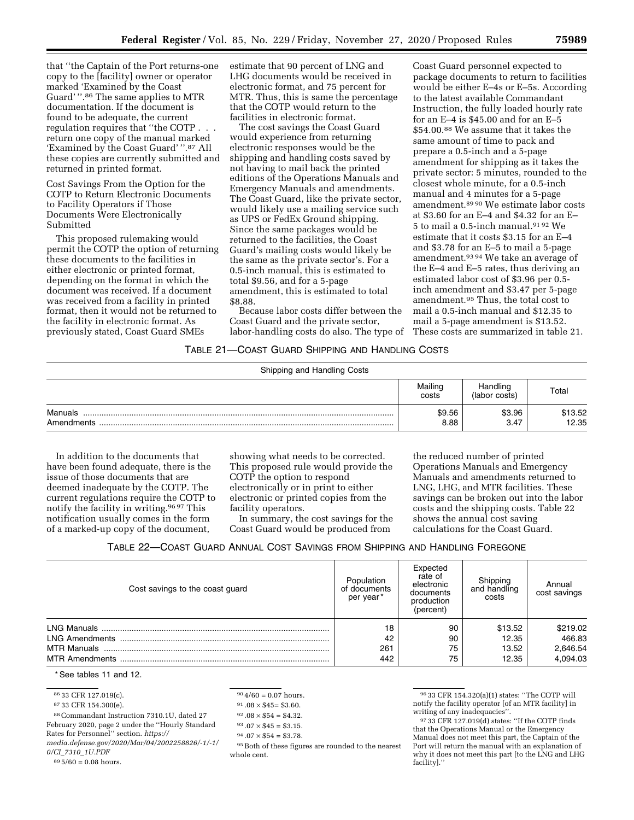that ''the Captain of the Port returns-one copy to the [facility] owner or operator marked 'Examined by the Coast Guard' ''.86 The same applies to MTR documentation. If the document is found to be adequate, the current regulation requires that ''the COTP . . . return one copy of the manual marked 'Examined by the Coast Guard' ''.87 All these copies are currently submitted and returned in printed format.

Cost Savings From the Option for the COTP to Return Electronic Documents to Facility Operators if Those Documents Were Electronically Submitted

This proposed rulemaking would permit the COTP the option of returning these documents to the facilities in either electronic or printed format, depending on the format in which the document was received. If a document was received from a facility in printed format, then it would not be returned to the facility in electronic format. As previously stated, Coast Guard SMEs

estimate that 90 percent of LNG and LHG documents would be received in electronic format, and 75 percent for MTR. Thus, this is same the percentage that the COTP would return to the facilities in electronic format.

The cost savings the Coast Guard would experience from returning electronic responses would be the shipping and handling costs saved by not having to mail back the printed editions of the Operations Manuals and Emergency Manuals and amendments. The Coast Guard, like the private sector, would likely use a mailing service such as UPS or FedEx Ground shipping. Since the same packages would be returned to the facilities, the Coast Guard's mailing costs would likely be the same as the private sector's. For a 0.5-inch manual, this is estimated to total \$9.56, and for a 5-page amendment, this is estimated to total \$8.88.

Because labor costs differ between the Coast Guard and the private sector, labor-handling costs do also. The type of

Coast Guard personnel expected to package documents to return to facilities would be either E–4s or E–5s. According to the latest available Commandant Instruction, the fully loaded hourly rate for an E–4 is \$45.00 and for an E–5 \$54.00.88 We assume that it takes the same amount of time to pack and prepare a 0.5-inch and a 5-page amendment for shipping as it takes the private sector: 5 minutes, rounded to the closest whole minute, for a 0.5-inch manual and 4 minutes for a 5-page amendment.89 90 We estimate labor costs at \$3.60 for an E–4 and \$4.32 for an E– 5 to mail a 0.5-inch manual.91 92 We estimate that it costs \$3.15 for an E–4 and \$3.78 for an E–5 to mail a 5-page amendment.93 94 We take an average of the E–4 and E–5 rates, thus deriving an estimated labor cost of \$3.96 per 0.5 inch amendment and \$3.47 per 5-page amendment.95 Thus, the total cost to mail a 0.5-inch manual and \$12.35 to mail a 5-page amendment is \$13.52. These costs are summarized in table 21.

#### TABLE 21—COAST GUARD SHIPPING AND HANDLING COSTS

| Shipping and Handling Costs |                  |                           |                  |
|-----------------------------|------------------|---------------------------|------------------|
|                             | Mailing<br>costs | Handling<br>(labor costs) | Total            |
| Manuals<br>Amendments       | \$9.56<br>8.88   | \$3.96<br>3.47            | \$13.52<br>12.35 |

In addition to the documents that have been found adequate, there is the issue of those documents that are deemed inadequate by the COTP. The current regulations require the COTP to notify the facility in writing.96 97 This notification usually comes in the form of a marked-up copy of the document,

showing what needs to be corrected. This proposed rule would provide the COTP the option to respond electronically or in print to either electronic or printed copies from the facility operators.

In summary, the cost savings for the Coast Guard would be produced from

the reduced number of printed Operations Manuals and Emergency Manuals and amendments returned to LNG, LHG, and MTR facilities. These savings can be broken out into the labor costs and the shipping costs. Table 22 shows the annual cost saving calculations for the Coast Guard.

TABLE 22—COAST GUARD ANNUAL COST SAVINGS FROM SHIPPING AND HANDLING FOREGONE

| Cost savings to the coast guard | Population<br>of documents<br>per year* | Expected<br>rate of<br>electronic<br>documents<br>production<br>(percent) | Shipping<br>and handling<br>costs | Annual<br>cost savings |
|---------------------------------|-----------------------------------------|---------------------------------------------------------------------------|-----------------------------------|------------------------|
|                                 | 18                                      | 90                                                                        | \$13.52                           | \$219.02               |
|                                 | 42                                      | 90                                                                        | 12.35                             | 466.83                 |
|                                 | 261                                     | 75                                                                        | 13.52                             | 2,646.54               |
|                                 | 442                                     | 75                                                                        | 12.35                             | 4,094.03               |

\* See tables 11 and 12.

86 33 CFR 127.019(c).

87 33 CFR 154.300(e).

88Commandant Instruction 7310.1U, dated 27

February 2020, page 2 under the ''Hourly Standard Rates for Personnel'' section. *[https://](https://media.defense.gov/2020/Mar/04/2002258826/-1/-1/0/CI_7310_1U.PDF) [media.defense.gov/2020/Mar/04/2002258826/-1/-1/](https://media.defense.gov/2020/Mar/04/2002258826/-1/-1/0/CI_7310_1U.PDF) 0/CI*\_*7310*\_*[1U.PDF](https://media.defense.gov/2020/Mar/04/2002258826/-1/-1/0/CI_7310_1U.PDF)* 

 $89\,5/60 = 0.08$  hours.

```
90\,4/60 = 0.07 hours.
```
 $91.08 \times $45 = $3.60.$  $92.08 \times $54 = $4.32$ .

 $93.07 \times $45 = $3.15.$ 

 $94.07 \times $54 = $3.78.$ 

95Both of these figures are rounded to the nearest whole cent.

96 33 CFR 154.320(a)(1) states: ''The COTP will notify the facility operator [of an MTR facility] in writing of any inadequacies''.

<sup>97</sup> 33 CFR 127.019(d) states: ''If the COTP finds that the Operations Manual or the Emergency Manual does not meet this part, the Captain of the Port will return the manual with an explanation of why it does not meet this part [to the LNG and LHG facility].''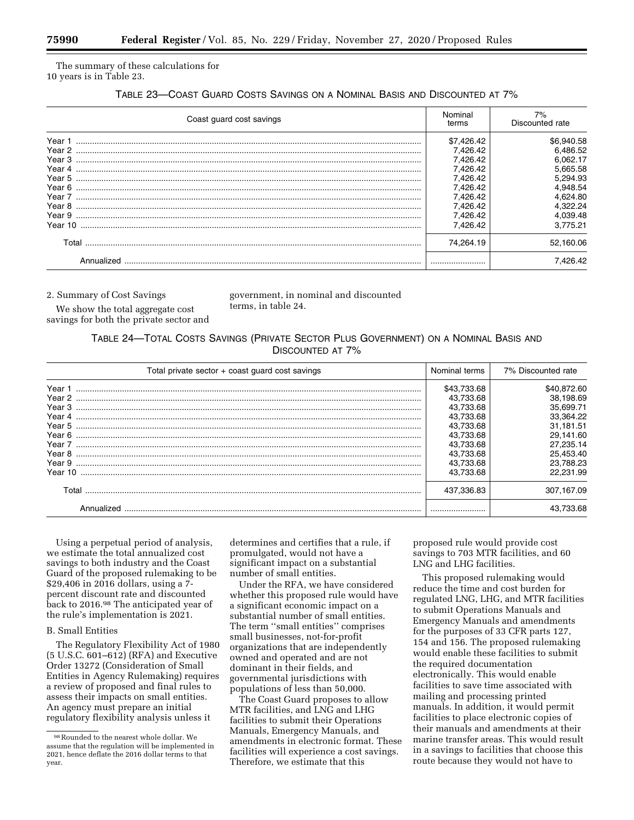The summary of these calculations for 10 years is in Table 23.

### TABLE 23—COAST GUARD COSTS SAVINGS ON A NOMINAL BASIS AND DISCOUNTED AT 7%

| Coast quard cost savings | Nominal<br>terms | 7%<br>Discounted rate |
|--------------------------|------------------|-----------------------|
|                          | \$7,426.42       | \$6,940.58            |
|                          | 7.426.42         | 6,486.52              |
|                          | 7,426.42         | 6.062.17              |
|                          | 7,426.42         | 5,665.58              |
|                          | 7.426.42         | 5,294.93              |
|                          | 7.426.42         | 4.948.54              |
|                          | 7.426.42         | 4,624.80              |
|                          | 7.426.42         | 4.322.24              |
|                          | 7,426.42         | 4.039.48              |
| Year 10                  | 7,426.42         | 3.775.21              |
| Total                    | 74.264.19        | 52,160.06             |
|                          |                  | 7.426.42              |

2. Summary of Cost Savings

government, in nominal and discounted terms, in table 24.

We show the total aggregate cost savings for both the private sector and

### TABLE 24—TOTAL COSTS SAVINGS (PRIVATE SECTOR PLUS GOVERNMENT) ON A NOMINAL BASIS AND DISCOUNTED AT 7%

| Total private sector + coast quard cost savings | Nominal terms | 7% Discounted rate |
|-------------------------------------------------|---------------|--------------------|
| Year 1                                          | \$43,733.68   | \$40.872.60        |
|                                                 | 43.733.68     | 38,198.69          |
|                                                 | 43.733.68     | 35.699.71          |
| Year 4                                          | 43.733.68     | 33.364.22          |
| Year 5                                          | 43.733.68     | 31.181.51          |
|                                                 | 43.733.68     | 29.141.60          |
|                                                 | 43,733.68     | 27,235.14          |
|                                                 | 43.733.68     | 25.453.40          |
|                                                 | 43.733.68     | 23.788.23          |
| Year 10                                         | 43.733.68     | 22.231.99          |
| Total                                           | 437.336.83    | 307.167.09         |
|                                                 |               | 43.733.68          |

Using a perpetual period of analysis, we estimate the total annualized cost savings to both industry and the Coast Guard of the proposed rulemaking to be \$29,406 in 2016 dollars, using a 7 percent discount rate and discounted back to 2016.98 The anticipated year of the rule's implementation is 2021.

### B. Small Entities

The Regulatory Flexibility Act of 1980 (5 U.S.C. 601–612) (RFA) and Executive Order 13272 (Consideration of Small Entities in Agency Rulemaking) requires a review of proposed and final rules to assess their impacts on small entities. An agency must prepare an initial regulatory flexibility analysis unless it

determines and certifies that a rule, if promulgated, would not have a significant impact on a substantial number of small entities.

Under the RFA, we have considered whether this proposed rule would have a significant economic impact on a substantial number of small entities. The term ''small entities'' comprises small businesses, not-for-profit organizations that are independently owned and operated and are not dominant in their fields, and governmental jurisdictions with populations of less than 50,000.

The Coast Guard proposes to allow MTR facilities, and LNG and LHG facilities to submit their Operations Manuals, Emergency Manuals, and amendments in electronic format. These facilities will experience a cost savings. Therefore, we estimate that this

proposed rule would provide cost savings to 703 MTR facilities, and 60 LNG and LHG facilities.

This proposed rulemaking would reduce the time and cost burden for regulated LNG, LHG, and MTR facilities to submit Operations Manuals and Emergency Manuals and amendments for the purposes of 33 CFR parts 127, 154 and 156. The proposed rulemaking would enable these facilities to submit the required documentation electronically. This would enable facilities to save time associated with mailing and processing printed manuals. In addition, it would permit facilities to place electronic copies of their manuals and amendments at their marine transfer areas. This would result in a savings to facilities that choose this route because they would not have to

<sup>98</sup>Rounded to the nearest whole dollar. We assume that the regulation will be implemented in 2021, hence deflate the 2016 dollar terms to that year.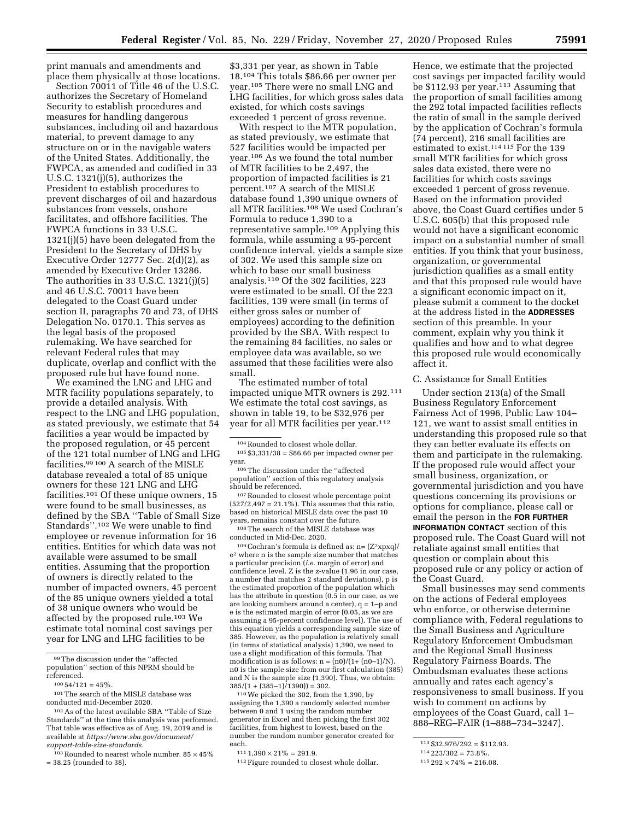print manuals and amendments and place them physically at those locations.

Section 70011 of Title 46 of the U.S.C. authorizes the Secretary of Homeland Security to establish procedures and measures for handling dangerous substances, including oil and hazardous material, to prevent damage to any structure on or in the navigable waters of the United States. Additionally, the FWPCA, as amended and codified in 33 U.S.C. 1321(j)(5), authorizes the President to establish procedures to prevent discharges of oil and hazardous substances from vessels, onshore facilitates, and offshore facilities. The FWPCA functions in 33 U.S.C. 1321(j)(5) have been delegated from the President to the Secretary of DHS by Executive Order 12777 Sec. 2(d)(2), as amended by Executive Order 13286. The authorities in 33 U.S.C. 1321(j)(5) and 46 U.S.C. 70011 have been delegated to the Coast Guard under section II, paragraphs 70 and 73, of DHS Delegation No. 0170.1. This serves as the legal basis of the proposed rulemaking. We have searched for relevant Federal rules that may duplicate, overlap and conflict with the proposed rule but have found none.

We examined the LNG and LHG and MTR facility populations separately, to provide a detailed analysis. With respect to the LNG and LHG population, as stated previously, we estimate that 54 facilities a year would be impacted by the proposed regulation, or 45 percent of the 121 total number of LNG and LHG facilities.99 100 A search of the MISLE database revealed a total of 85 unique owners for these 121 LNG and LHG facilities.101 Of these unique owners, 15 were found to be small businesses, as defined by the SBA ''Table of Small Size Standards''.102 We were unable to find employee or revenue information for 16 entities. Entities for which data was not available were assumed to be small entities. Assuming that the proportion of owners is directly related to the number of impacted owners, 45 percent of the 85 unique owners yielded a total of 38 unique owners who would be affected by the proposed rule.103 We estimate total nominal cost savings per year for LNG and LHG facilities to be

\$3,331 per year, as shown in Table 18.104 This totals \$86.66 per owner per year.105 There were no small LNG and LHG facilities, for which gross sales data existed, for which costs savings exceeded 1 percent of gross revenue.

With respect to the MTR population, as stated previously, we estimate that 527 facilities would be impacted per year.106 As we found the total number of MTR facilities to be 2,497, the proportion of impacted facilities is 21 percent.107 A search of the MISLE database found 1,390 unique owners of all MTR facilities.108 We used Cochran's Formula to reduce 1,390 to a representative sample.109 Applying this formula, while assuming a 95-percent confidence interval, yields a sample size of 302. We used this sample size on which to base our small business analysis.110 Of the 302 facilities, 223 were estimated to be small. Of the 223 facilities, 139 were small (in terms of either gross sales or number of employees) according to the definition provided by the SBA. With respect to the remaining 84 facilities, no sales or employee data was available, so we assumed that these facilities were also small.

The estimated number of total impacted unique MTR owners is 292.111 We estimate the total cost savings, as shown in table 19, to be \$32,976 per year for all MTR facilities per year.112

<sup>106</sup>The discussion under the "affected population'' section of this regulatory analysis

 $^{107}\!$  Rounded to closest whole percentage point  $(527/2,497 = 21.1\%)$ . This assumes that this ratio, based on historical MISLE data over the past 10 years, remains constant over the future.

108The search of the MISLE database was conducted in Mid-Dec. 2020.

 $109$  Cochran's formula is defined as:  $n = (Z^2 \times py)/Z$ e2 where n is the sample size number that matches a particular precision (*i.e.* margin of error) and confidence level. Z is the z-value (1.96 in our case, a number that matches 2 standard deviations), p is the estimated proportion of the population which has the attribute in question (0.5 in our case, as we are looking numbers around a center), q = 1–p and e is the estimated margin of error (0.05, as we are assuming a 95-percent confidence level). The use of this equation yields a corresponding sample size of 385. However, as the population is relatively small (in terms of statistical analysis) 1,390, we need to use a slight modification of this formula. That modification is as follows:  $n = (n0)/(1 + (n0-1)/N)$ . n0 is the sample size from our first calculation (385) and N is the sample size (1,390). Thus, we obtain:  $385/(1 + (385-1)/1390) = 302.$ 

110We picked the 302, from the 1,390, by assigning the 1,390 a randomly selected number between 0 and 1 using the random number generator in Excel and then picking the first 302 facilities, from highest to lowest, based on the number the random number generator created for each.

Hence, we estimate that the projected cost savings per impacted facility would be \$112.93 per year.113 Assuming that the proportion of small facilities among the 292 total impacted facilities reflects the ratio of small in the sample derived by the application of Cochran's formula (74 percent), 216 small facilities are estimated to exist.114 115 For the 139 small MTR facilities for which gross sales data existed, there were no facilities for which costs savings exceeded 1 percent of gross revenue. Based on the information provided above, the Coast Guard certifies under 5 U.S.C. 605(b) that this proposed rule would not have a significant economic impact on a substantial number of small entities. If you think that your business, organization, or governmental jurisdiction qualifies as a small entity and that this proposed rule would have a significant economic impact on it, please submit a comment to the docket at the address listed in the **ADDRESSES** section of this preamble. In your comment, explain why you think it qualifies and how and to what degree this proposed rule would economically affect it.

#### C. Assistance for Small Entities

Under section 213(a) of the Small Business Regulatory Enforcement Fairness Act of 1996, Public Law 104– 121, we want to assist small entities in understanding this proposed rule so that they can better evaluate its effects on them and participate in the rulemaking. If the proposed rule would affect your small business, organization, or governmental jurisdiction and you have questions concerning its provisions or options for compliance, please call or email the person in the **FOR FURTHER INFORMATION CONTACT** section of this proposed rule. The Coast Guard will not retaliate against small entities that question or complain about this proposed rule or any policy or action of the Coast Guard.

Small businesses may send comments on the actions of Federal employees who enforce, or otherwise determine compliance with, Federal regulations to the Small Business and Agriculture Regulatory Enforcement Ombudsman and the Regional Small Business Regulatory Fairness Boards. The Ombudsman evaluates these actions annually and rates each agency's responsiveness to small business. If you wish to comment on actions by employees of the Coast Guard, call 1– 888–REG–FAIR (1–888–734–3247).

<sup>99</sup>The discussion under the ''affected population'' section of this NPRM should be referenced.

 $100\,54/121 = 45\%$ 

<sup>101</sup>The search of the MISLE database was conducted mid-December 2020.

<sup>102</sup>As of the latest available SBA ''Table of Size Standards'' at the time this analysis was performed. That table was effective as of Aug. 19, 2019 and is available at *[https://www.sba.gov/document/](https://www.sba.gov/document/support-table-size-standards)  [support-table-size-standards.](https://www.sba.gov/document/support-table-size-standards)* 

 $103$  Rounded to nearest whole number.  $85 \times 45\%$ = 38.25 (rounded to 38).

 $104$  Rounded to closest whole dollar.<br> $105 \text{ }\$\$3,331/38 = \$86.66$  per impacted owner per vear.

 $111 1,390 \times 21\% = 291.9$ .

<sup>112</sup>Figure rounded to closest whole dollar.

 $113 $32,976/292 = $112.93.$ 

 $114\,223/302 = 73.8\%$ .

 $115\,292\times74\% = 216.08.$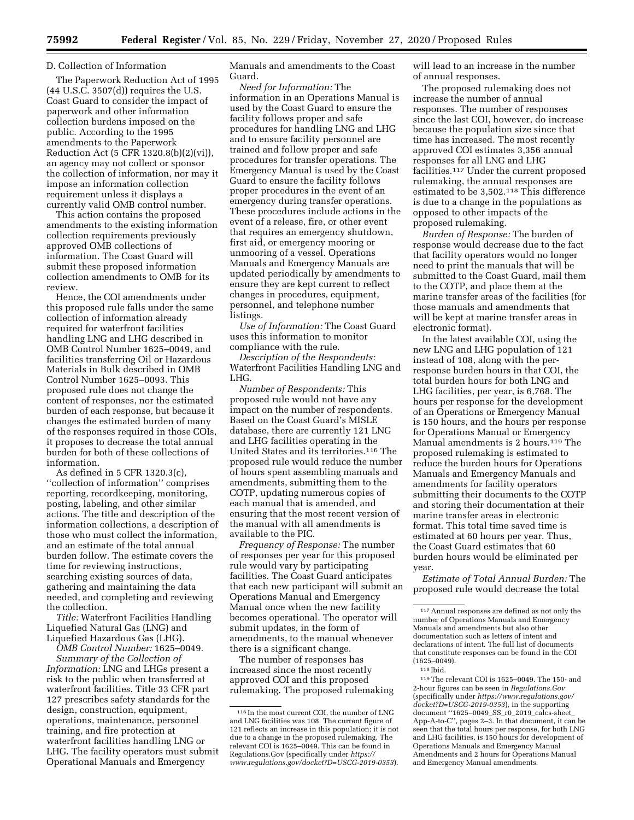#### D. Collection of Information

The Paperwork Reduction Act of 1995 (44 U.S.C. 3507(d)) requires the U.S. Coast Guard to consider the impact of paperwork and other information collection burdens imposed on the public. According to the 1995 amendments to the Paperwork Reduction Act (5 CFR 1320.8(b)(2)(vi)), an agency may not collect or sponsor the collection of information, nor may it impose an information collection requirement unless it displays a currently valid OMB control number.

This action contains the proposed amendments to the existing information collection requirements previously approved OMB collections of information. The Coast Guard will submit these proposed information collection amendments to OMB for its review.

Hence, the COI amendments under this proposed rule falls under the same collection of information already required for waterfront facilities handling LNG and LHG described in OMB Control Number 1625–0049, and facilities transferring Oil or Hazardous Materials in Bulk described in OMB Control Number 1625–0093. This proposed rule does not change the content of responses, nor the estimated burden of each response, but because it changes the estimated burden of many of the responses required in those COIs, it proposes to decrease the total annual burden for both of these collections of information.

As defined in 5 CFR 1320.3(c), ''collection of information'' comprises reporting, recordkeeping, monitoring, posting, labeling, and other similar actions. The title and description of the information collections, a description of those who must collect the information, and an estimate of the total annual burden follow. The estimate covers the time for reviewing instructions, searching existing sources of data, gathering and maintaining the data needed, and completing and reviewing the collection.

*Title:* Waterfront Facilities Handling Liquefied Natural Gas (LNG) and Liquefied Hazardous Gas (LHG).

*OMB Control Number:* 1625–0049. *Summary of the Collection of* 

*Information:* LNG and LHGs present a risk to the public when transferred at waterfront facilities. Title 33 CFR part 127 prescribes safety standards for the design, construction, equipment, operations, maintenance, personnel training, and fire protection at waterfront facilities handling LNG or LHG. The facility operators must submit Operational Manuals and Emergency

Manuals and amendments to the Coast Guard.

*Need for Information:* The information in an Operations Manual is used by the Coast Guard to ensure the facility follows proper and safe procedures for handling LNG and LHG and to ensure facility personnel are trained and follow proper and safe procedures for transfer operations. The Emergency Manual is used by the Coast Guard to ensure the facility follows proper procedures in the event of an emergency during transfer operations. These procedures include actions in the event of a release, fire, or other event that requires an emergency shutdown, first aid, or emergency mooring or unmooring of a vessel. Operations Manuals and Emergency Manuals are updated periodically by amendments to ensure they are kept current to reflect changes in procedures, equipment, personnel, and telephone number listings.

*Use of Information:* The Coast Guard uses this information to monitor compliance with the rule.

*Description of the Respondents:*  Waterfront Facilities Handling LNG and LHG.

*Number of Respondents:* This proposed rule would not have any impact on the number of respondents. Based on the Coast Guard's MISLE database, there are currently 121 LNG and LHG facilities operating in the United States and its territories.116 The proposed rule would reduce the number of hours spent assembling manuals and amendments, submitting them to the COTP, updating numerous copies of each manual that is amended, and ensuring that the most recent version of the manual with all amendments is available to the PIC.

*Frequency of Response:* The number of responses per year for this proposed rule would vary by participating facilities. The Coast Guard anticipates that each new participant will submit an Operations Manual and Emergency Manual once when the new facility becomes operational. The operator will submit updates, in the form of amendments, to the manual whenever there is a significant change.

The number of responses has increased since the most recently approved COI and this proposed rulemaking. The proposed rulemaking will lead to an increase in the number of annual responses.

The proposed rulemaking does not increase the number of annual responses. The number of responses since the last COI, however, do increase because the population size since that time has increased. The most recently approved COI estimates 3,356 annual responses for all LNG and LHG facilities.117 Under the current proposed rulemaking, the annual responses are estimated to be 3,502.118 This difference is due to a change in the populations as opposed to other impacts of the proposed rulemaking.

*Burden of Response:* The burden of response would decrease due to the fact that facility operators would no longer need to print the manuals that will be submitted to the Coast Guard, mail them to the COTP, and place them at the marine transfer areas of the facilities (for those manuals and amendments that will be kept at marine transfer areas in electronic format).

In the latest available COI, using the new LNG and LHG population of 121 instead of 108, along with the perresponse burden hours in that COI, the total burden hours for both LNG and LHG facilities, per year, is 6,768. The hours per response for the development of an Operations or Emergency Manual is 150 hours, and the hours per response for Operations Manual or Emergency Manual amendments is 2 hours.119 The proposed rulemaking is estimated to reduce the burden hours for Operations Manuals and Emergency Manuals and amendments for facility operators submitting their documents to the COTP and storing their documentation at their marine transfer areas in electronic format. This total time saved time is estimated at 60 hours per year. Thus, the Coast Guard estimates that 60 burden hours would be eliminated per year.

*Estimate of Total Annual Burden:* The proposed rule would decrease the total

119The relevant COI is 1625–0049. The 150- and 2-hour figures can be seen in *Regulations.Gov*  (specifically under *[https://www.regulations.gov/](https://www.regulations.gov/docket?D=USCG-2019-0353) [docket?D=USCG-2019-0353](https://www.regulations.gov/docket?D=USCG-2019-0353)*), in the supporting document ''1625–0049\_SS\_r0\_2019\_calcs-sheet\_ App-A-to-C'', pages 2–3. In that document, it can be seen that the total hours per response, for both LNG and LHG facilities, is 150 hours for development of Operations Manuals and Emergency Manual Amendments and 2 hours for Operations Manual and Emergency Manual amendments.

<sup>116</sup> In the most current COI, the number of LNG and LNG facilities was 108. The current figure of 121 reflects an increase in this population; it is not due to a change in the proposed rulemaking. The relevant COI is 1625–0049. This can be found in Regulations.Gov (specifically under *[https://](https://www.regulations.gov/docket?D=USCG-2019-0353) [www.regulations.gov/docket?D=USCG-2019-0353](https://www.regulations.gov/docket?D=USCG-2019-0353)*).

<sup>117</sup>Annual responses are defined as not only the number of Operations Manuals and Emergency Manuals and amendments but also other documentation such as letters of intent and declarations of intent. The full list of documents that constitute responses can be found in the COI (1625–0049).

<sup>118</sup> Ibid.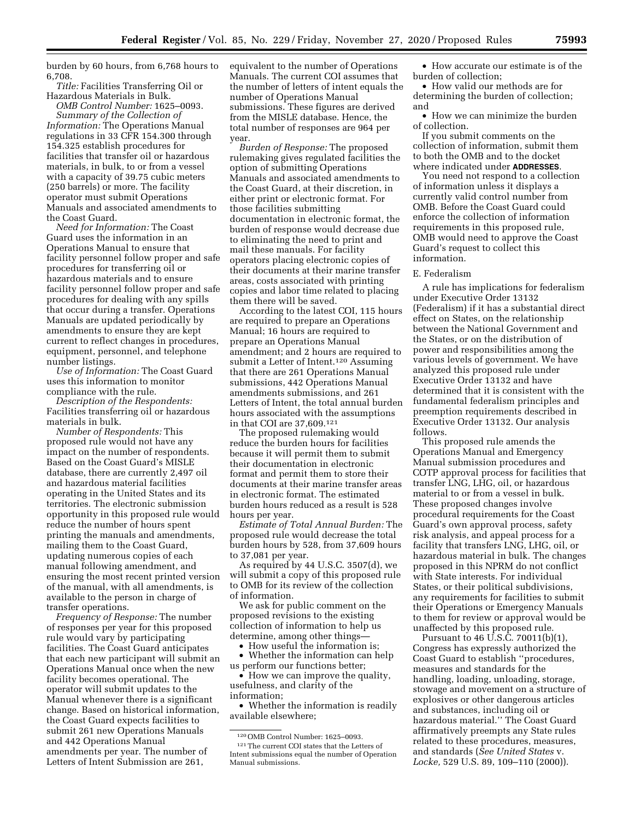burden by 60 hours, from 6,768 hours to 6,708.

*Title:* Facilities Transferring Oil or Hazardous Materials in Bulk.

*OMB Control Number:* 1625–0093. *Summary of the Collection of* 

*Information:* The Operations Manual regulations in 33 CFR 154.300 through 154.325 establish procedures for facilities that transfer oil or hazardous materials, in bulk, to or from a vessel with a capacity of 39.75 cubic meters (250 barrels) or more. The facility operator must submit Operations Manuals and associated amendments to the Coast Guard.

*Need for Information:* The Coast Guard uses the information in an Operations Manual to ensure that facility personnel follow proper and safe procedures for transferring oil or hazardous materials and to ensure facility personnel follow proper and safe procedures for dealing with any spills that occur during a transfer. Operations Manuals are updated periodically by amendments to ensure they are kept current to reflect changes in procedures, equipment, personnel, and telephone number listings.

*Use of Information:* The Coast Guard uses this information to monitor compliance with the rule.

*Description of the Respondents:*  Facilities transferring oil or hazardous materials in bulk.

*Number of Respondents:* This proposed rule would not have any impact on the number of respondents. Based on the Coast Guard's MISLE database, there are currently 2,497 oil and hazardous material facilities operating in the United States and its territories. The electronic submission opportunity in this proposed rule would reduce the number of hours spent printing the manuals and amendments, mailing them to the Coast Guard, updating numerous copies of each manual following amendment, and ensuring the most recent printed version of the manual, with all amendments, is available to the person in charge of transfer operations.

*Frequency of Response:* The number of responses per year for this proposed rule would vary by participating facilities. The Coast Guard anticipates that each new participant will submit an Operations Manual once when the new facility becomes operational. The operator will submit updates to the Manual whenever there is a significant change. Based on historical information, the Coast Guard expects facilities to submit 261 new Operations Manuals and 442 Operations Manual amendments per year. The number of Letters of Intent Submission are 261,

equivalent to the number of Operations Manuals. The current COI assumes that the number of letters of intent equals the number of Operations Manual submissions. These figures are derived from the MISLE database. Hence, the total number of responses are 964 per year.

*Burden of Response:* The proposed rulemaking gives regulated facilities the option of submitting Operations Manuals and associated amendments to the Coast Guard, at their discretion, in either print or electronic format. For those facilities submitting documentation in electronic format, the burden of response would decrease due to eliminating the need to print and mail these manuals. For facility operators placing electronic copies of their documents at their marine transfer areas, costs associated with printing copies and labor time related to placing them there will be saved.

According to the latest COI, 115 hours are required to prepare an Operations Manual; 16 hours are required to prepare an Operations Manual amendment; and 2 hours are required to submit a Letter of Intent.120 Assuming that there are 261 Operations Manual submissions, 442 Operations Manual amendments submissions, and 261 Letters of Intent, the total annual burden hours associated with the assumptions in that COI are 37,609.121

The proposed rulemaking would reduce the burden hours for facilities because it will permit them to submit their documentation in electronic format and permit them to store their documents at their marine transfer areas in electronic format. The estimated burden hours reduced as a result is 528 hours per year.

*Estimate of Total Annual Burden:* The proposed rule would decrease the total burden hours by 528, from 37,609 hours to 37,081 per year.

As required by 44 U.S.C. 3507(d), we will submit a copy of this proposed rule to OMB for its review of the collection of information.

We ask for public comment on the proposed revisions to the existing collection of information to help us determine, among other things—

• How useful the information is;

• Whether the information can help us perform our functions better;

• How we can improve the quality, usefulness, and clarity of the information;

• Whether the information is readily available elsewhere;

• How accurate our estimate is of the burden of collection;

• How valid our methods are for determining the burden of collection; and

• How we can minimize the burden of collection.

If you submit comments on the collection of information, submit them to both the OMB and to the docket where indicated under **ADDRESSES**.

You need not respond to a collection of information unless it displays a currently valid control number from OMB. Before the Coast Guard could enforce the collection of information requirements in this proposed rule, OMB would need to approve the Coast Guard's request to collect this information.

#### E. Federalism

A rule has implications for federalism under Executive Order 13132 (Federalism) if it has a substantial direct effect on States, on the relationship between the National Government and the States, or on the distribution of power and responsibilities among the various levels of government. We have analyzed this proposed rule under Executive Order 13132 and have determined that it is consistent with the fundamental federalism principles and preemption requirements described in Executive Order 13132. Our analysis follows.

This proposed rule amends the Operations Manual and Emergency Manual submission procedures and COTP approval process for facilities that transfer LNG, LHG, oil, or hazardous material to or from a vessel in bulk. These proposed changes involve procedural requirements for the Coast Guard's own approval process, safety risk analysis, and appeal process for a facility that transfers LNG, LHG, oil, or hazardous material in bulk. The changes proposed in this NPRM do not conflict with State interests. For individual States, or their political subdivisions, any requirements for facilities to submit their Operations or Emergency Manuals to them for review or approval would be unaffected by this proposed rule.

Pursuant to 46 U.S.C. 70011(b)(1), Congress has expressly authorized the Coast Guard to establish ''procedures, measures and standards for the handling, loading, unloading, storage, stowage and movement on a structure of explosives or other dangerous articles and substances, including oil or hazardous material.'' The Coast Guard affirmatively preempts any State rules related to these procedures, measures, and standards (*See United States* v. *Locke,* 529 U.S. 89, 109–110 (2000)).

<sup>120</sup>OMB Control Number: 1625–0093. 121The current COI states that the Letters of Intent submissions equal the number of Operation Manual submissions.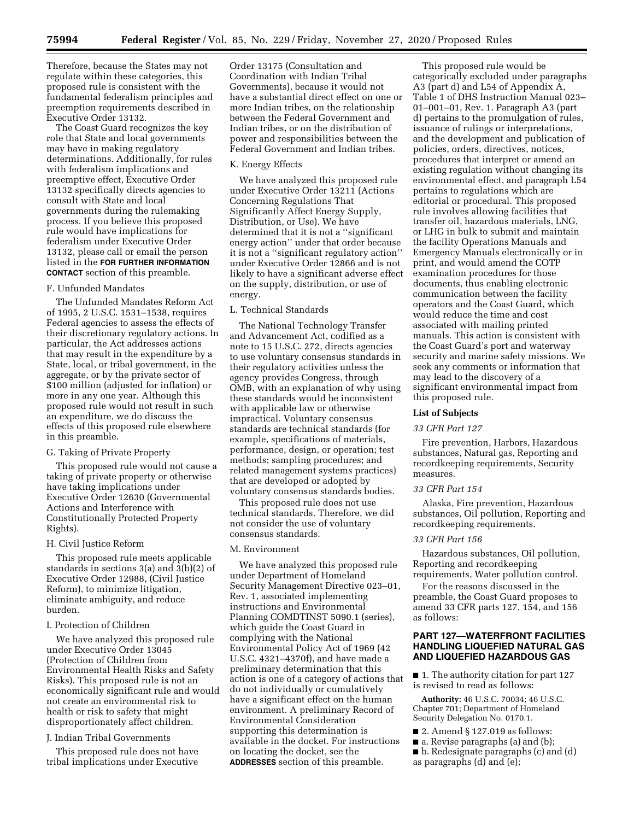Therefore, because the States may not regulate within these categories, this proposed rule is consistent with the fundamental federalism principles and preemption requirements described in Executive Order 13132.

The Coast Guard recognizes the key role that State and local governments may have in making regulatory determinations. Additionally, for rules with federalism implications and preemptive effect, Executive Order 13132 specifically directs agencies to consult with State and local governments during the rulemaking process. If you believe this proposed rule would have implications for federalism under Executive Order 13132, please call or email the person listed in the **FOR FURTHER INFORMATION CONTACT** section of this preamble.

#### F. Unfunded Mandates

The Unfunded Mandates Reform Act of 1995, 2 U.S.C. 1531–1538, requires Federal agencies to assess the effects of their discretionary regulatory actions. In particular, the Act addresses actions that may result in the expenditure by a State, local, or tribal government, in the aggregate, or by the private sector of \$100 million (adjusted for inflation) or more in any one year. Although this proposed rule would not result in such an expenditure, we do discuss the effects of this proposed rule elsewhere in this preamble.

#### G. Taking of Private Property

This proposed rule would not cause a taking of private property or otherwise have taking implications under Executive Order 12630 (Governmental Actions and Interference with Constitutionally Protected Property Rights).

### H. Civil Justice Reform

This proposed rule meets applicable standards in sections 3(a) and 3(b)(2) of Executive Order 12988, (Civil Justice Reform), to minimize litigation, eliminate ambiguity, and reduce burden.

#### I. Protection of Children

We have analyzed this proposed rule under Executive Order 13045 (Protection of Children from Environmental Health Risks and Safety Risks). This proposed rule is not an economically significant rule and would not create an environmental risk to health or risk to safety that might disproportionately affect children.

### J. Indian Tribal Governments

This proposed rule does not have tribal implications under Executive Order 13175 (Consultation and Coordination with Indian Tribal Governments), because it would not have a substantial direct effect on one or more Indian tribes, on the relationship between the Federal Government and Indian tribes, or on the distribution of power and responsibilities between the Federal Government and Indian tribes.

#### K. Energy Effects

We have analyzed this proposed rule under Executive Order 13211 (Actions Concerning Regulations That Significantly Affect Energy Supply, Distribution, or Use). We have determined that it is not a ''significant energy action'' under that order because it is not a ''significant regulatory action'' under Executive Order 12866 and is not likely to have a significant adverse effect on the supply, distribution, or use of energy.

### L. Technical Standards

The National Technology Transfer and Advancement Act, codified as a note to 15 U.S.C. 272, directs agencies to use voluntary consensus standards in their regulatory activities unless the agency provides Congress, through OMB, with an explanation of why using these standards would be inconsistent with applicable law or otherwise impractical. Voluntary consensus standards are technical standards (for example, specifications of materials, performance, design, or operation; test methods; sampling procedures; and related management systems practices) that are developed or adopted by voluntary consensus standards bodies.

This proposed rule does not use technical standards. Therefore, we did not consider the use of voluntary consensus standards.

#### M. Environment

We have analyzed this proposed rule under Department of Homeland Security Management Directive 023–01, Rev. 1, associated implementing instructions and Environmental Planning COMDTINST 5090.1 (series), which guide the Coast Guard in complying with the National Environmental Policy Act of 1969 (42 U.S.C. 4321–4370f), and have made a preliminary determination that this action is one of a category of actions that do not individually or cumulatively have a significant effect on the human environment. A preliminary Record of Environmental Consideration supporting this determination is available in the docket. For instructions on locating the docket, see the **ADDRESSES** section of this preamble.

This proposed rule would be categorically excluded under paragraphs A3 (part d) and L54 of Appendix A, Table 1 of DHS Instruction Manual 023– 01–001–01, Rev. 1. Paragraph A3 (part d) pertains to the promulgation of rules, issuance of rulings or interpretations, and the development and publication of policies, orders, directives, notices, procedures that interpret or amend an existing regulation without changing its environmental effect, and paragraph L54 pertains to regulations which are editorial or procedural. This proposed rule involves allowing facilities that transfer oil, hazardous materials, LNG, or LHG in bulk to submit and maintain the facility Operations Manuals and Emergency Manuals electronically or in print, and would amend the COTP examination procedures for those documents, thus enabling electronic communication between the facility operators and the Coast Guard, which would reduce the time and cost associated with mailing printed manuals. This action is consistent with the Coast Guard's port and waterway security and marine safety missions. We seek any comments or information that may lead to the discovery of a significant environmental impact from this proposed rule.

#### **List of Subjects**

#### *33 CFR Part 127*

Fire prevention, Harbors, Hazardous substances, Natural gas, Reporting and recordkeeping requirements, Security measures.

### *33 CFR Part 154*

Alaska, Fire prevention, Hazardous substances, Oil pollution, Reporting and recordkeeping requirements.

### *33 CFR Part 156*

Hazardous substances, Oil pollution, Reporting and recordkeeping requirements, Water pollution control.

For the reasons discussed in the preamble, the Coast Guard proposes to amend 33 CFR parts 127, 154, and 156 as follows:

### **PART 127—WATERFRONT FACILITIES HANDLING LIQUEFIED NATURAL GAS AND LIQUEFIED HAZARDOUS GAS**

■ 1. The authority citation for part 127 is revised to read as follows:

**Authority:** 46 U.S.C. 70034; 46 U.S.C. Chapter 701; Department of Homeland Security Delegation No. 0170.1.

- 2. Amend § 127.019 as follows:
- a. Revise paragraphs (a) and (b);
- b. Redesignate paragraphs (c) and (d)
- as paragraphs (d) and (e);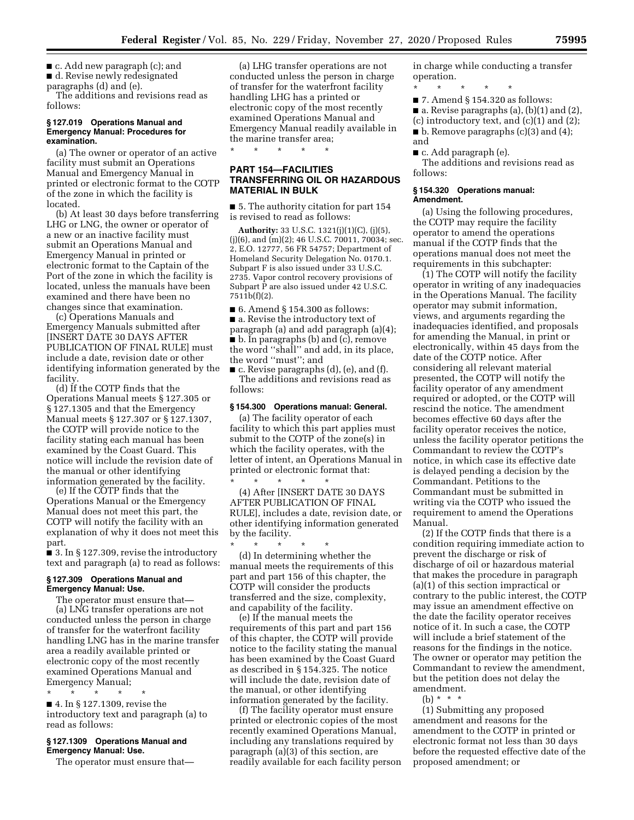■ c. Add new paragraph (c); and

■ d. Revise newly redesignated paragraphs (d) and (e).

The additions and revisions read as follows:

#### **§ 127.019 Operations Manual and Emergency Manual: Procedures for examination.**

(a) The owner or operator of an active facility must submit an Operations Manual and Emergency Manual in printed or electronic format to the COTP of the zone in which the facility is located.

(b) At least 30 days before transferring LHG or LNG, the owner or operator of a new or an inactive facility must submit an Operations Manual and Emergency Manual in printed or electronic format to the Captain of the Port of the zone in which the facility is located, unless the manuals have been examined and there have been no changes since that examination.

(c) Operations Manuals and Emergency Manuals submitted after [INSERT DATE 30 DAYS AFTER PUBLICATION OF FINAL RULE] must include a date, revision date or other identifying information generated by the facility.

(d) If the COTP finds that the Operations Manual meets § 127.305 or § 127.1305 and that the Emergency Manual meets § 127.307 or § 127.1307, the COTP will provide notice to the facility stating each manual has been examined by the Coast Guard. This notice will include the revision date of the manual or other identifying information generated by the facility.

(e) If the COTP finds that the Operations Manual or the Emergency Manual does not meet this part, the COTP will notify the facility with an explanation of why it does not meet this part.

■ 3. In § 127.309, revise the introductory text and paragraph (a) to read as follows:

#### **§ 127.309 Operations Manual and Emergency Manual: Use.**

The operator must ensure that— (a) LNG transfer operations are not conducted unless the person in charge of transfer for the waterfront facility handling LNG has in the marine transfer area a readily available printed or electronic copy of the most recently examined Operations Manual and Emergency Manual;

\* \* \* \* \*

■ 4. In § 127.1309, revise the introductory text and paragraph (a) to read as follows:

#### **§ 127.1309 Operations Manual and Emergency Manual: Use.**

The operator must ensure that—

(a) LHG transfer operations are not conducted unless the person in charge of transfer for the waterfront facility handling LHG has a printed or electronic copy of the most recently examined Operations Manual and Emergency Manual readily available in the marine transfer area;

\* \* \* \* \*

### **PART 154—FACILITIES TRANSFERRING OIL OR HAZARDOUS MATERIAL IN BULK**

■ 5. The authority citation for part 154 is revised to read as follows:

**Authority:** 33 U.S.C. 1321(j)(1)(C), (j)(5), (j)(6), and (m)(2); 46 U.S.C. 70011, 70034; sec. 2, E.O. 12777, 56 FR 54757; Department of Homeland Security Delegation No. 0170.1. Subpart F is also issued under 33 U.S.C. 2735. Vapor control recovery provisions of Subpart P are also issued under 42 U.S.C. 7511b(f)(2).

■ 6. Amend § 154.300 as follows: ■ a. Revise the introductory text of paragraph (a) and add paragraph (a)(4); ■ b. In paragraphs (b) and (c), remove the word ''shall'' and add, in its place, the word ''must''; and

■ c. Revise paragraphs (d), (e), and (f). The additions and revisions read as follows:

#### **§ 154.300 Operations manual: General.**

(a) The facility operator of each facility to which this part applies must submit to the COTP of the zone(s) in which the facility operates, with the letter of intent, an Operations Manual in printed or electronic format that: \* \* \* \* \*

(4) After [INSERT DATE 30 DAYS AFTER PUBLICATION OF FINAL RULE], includes a date, revision date, or other identifying information generated by the facility.

\* \* \* \* \* (d) In determining whether the manual meets the requirements of this part and part 156 of this chapter, the COTP will consider the products transferred and the size, complexity, and capability of the facility.

(e) If the manual meets the requirements of this part and part 156 of this chapter, the COTP will provide notice to the facility stating the manual has been examined by the Coast Guard as described in § 154.325. The notice will include the date, revision date of the manual, or other identifying information generated by the facility.

(f) The facility operator must ensure printed or electronic copies of the most recently examined Operations Manual, including any translations required by paragraph (a)(3) of this section, are readily available for each facility person in charge while conducting a transfer operation.

\* \* \* \* \* ■ 7. Amend § 154.320 as follows:

■ a. Revise paragraphs (a), (b)(1) and (2),  $(c)$  introductory text, and  $(c)(1)$  and  $(2)$ ;  $\blacksquare$  b. Remove paragraphs (c)(3) and (4); and

■ c. Add paragraph (e).

The additions and revisions read as follows:

#### **§ 154.320 Operations manual: Amendment.**

(a) Using the following procedures, the COTP may require the facility operator to amend the operations manual if the COTP finds that the operations manual does not meet the requirements in this subchapter:

(1) The COTP will notify the facility operator in writing of any inadequacies in the Operations Manual. The facility operator may submit information, views, and arguments regarding the inadequacies identified, and proposals for amending the Manual, in print or electronically, within 45 days from the date of the COTP notice. After considering all relevant material presented, the COTP will notify the facility operator of any amendment required or adopted, or the COTP will rescind the notice. The amendment becomes effective 60 days after the facility operator receives the notice, unless the facility operator petitions the Commandant to review the COTP's notice, in which case its effective date is delayed pending a decision by the Commandant. Petitions to the Commandant must be submitted in writing via the COTP who issued the requirement to amend the Operations Manual.

(2) If the COTP finds that there is a condition requiring immediate action to prevent the discharge or risk of discharge of oil or hazardous material that makes the procedure in paragraph (a)(1) of this section impractical or contrary to the public interest, the COTP may issue an amendment effective on the date the facility operator receives notice of it. In such a case, the COTP will include a brief statement of the reasons for the findings in the notice. The owner or operator may petition the Commandant to review the amendment, but the petition does not delay the amendment.

(b)  $* * * *$ 

(1) Submitting any proposed amendment and reasons for the amendment to the COTP in printed or electronic format not less than 30 days before the requested effective date of the proposed amendment; or